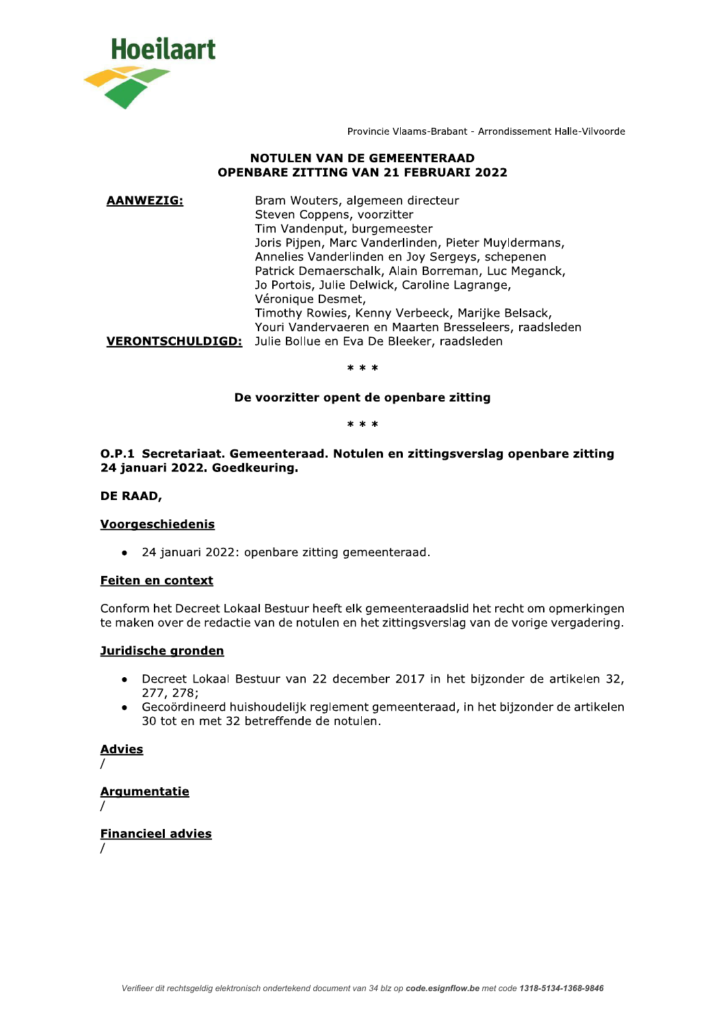

Provincie Vlaams-Brabant - Arrondissement Halle-Vilvoorde

## **NOTULEN VAN DE GEMEENTERAAD OPENBARE ZITTING VAN 21 FEBRUARI 2022**

| <b>AANWEZIG:</b>        | Bram Wouters, algemeen directeur<br>Steven Coppens, voorzitter<br>Tim Vandenput, burgemeester<br>Joris Pijpen, Marc Vanderlinden, Pieter Muyldermans,<br>Annelies Vanderlinden en Joy Sergeys, schepenen<br>Patrick Demaerschalk, Alain Borreman, Luc Meganck,<br>Jo Portois, Julie Delwick, Caroline Lagrange,<br>Véronique Desmet, |  |
|-------------------------|--------------------------------------------------------------------------------------------------------------------------------------------------------------------------------------------------------------------------------------------------------------------------------------------------------------------------------------|--|
| <b>VERONTSCHULDIGD:</b> | Timothy Rowies, Kenny Verbeeck, Marijke Belsack,<br>Youri Vandervaeren en Maarten Bresseleers, raadsleden<br>Julie Bollue en Eva De Bleeker, raadsleden                                                                                                                                                                              |  |

 $* * *$ 

## De voorzitter opent de openbare zitting

 $* * *$ 

## O.P.1 Secretariaat. Gemeenteraad. Notulen en zittingsverslag openbare zitting 24 januari 2022. Goedkeuring.

### DE RAAD,

### **Voorgeschiedenis**

• 24 januari 2022: openbare zitting gemeenteraad.

# **Feiten en context**

Conform het Decreet Lokaal Bestuur heeft elk gemeenteraadslid het recht om opmerkingen te maken over de redactie van de notulen en het zittingsverslag van de vorige vergadering.

## Juridische gronden

- Decreet Lokaal Bestuur van 22 december 2017 in het bijzonder de artikelen 32, 277, 278;
- Gecoördineerd huishoudelijk reglement gemeenteraad, in het bijzonder de artikelen  $\bullet$ 30 tot en met 32 betreffende de notulen.

### **Advies**

# **Argumentatie**

### **Financieel advies**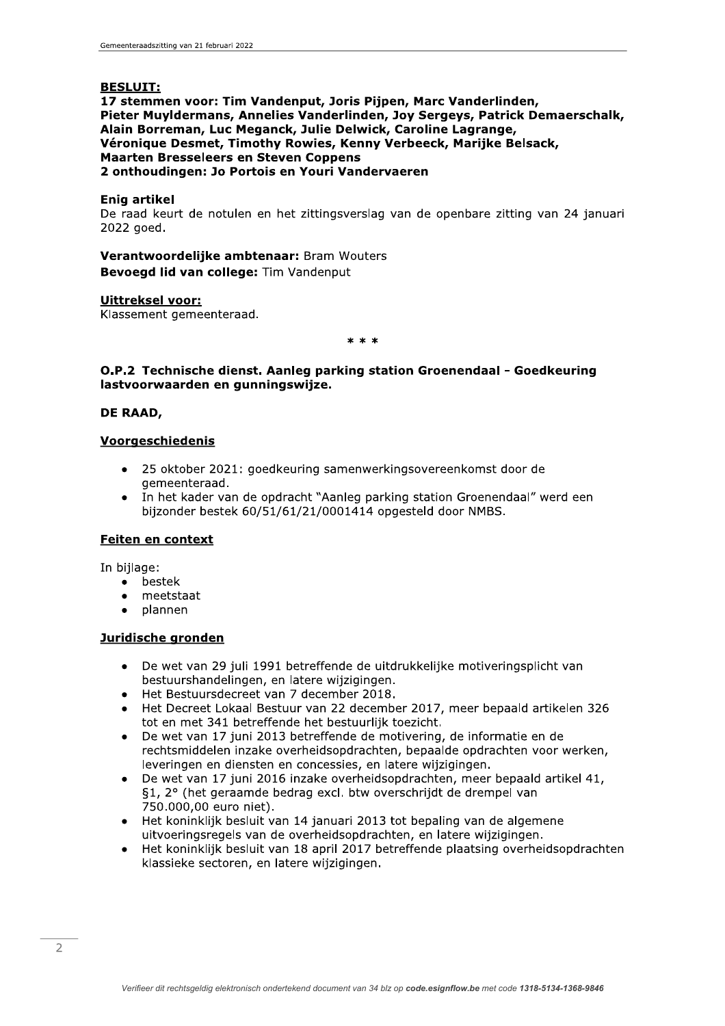# **BESLUIT:**

17 stemmen voor: Tim Vandenput, Joris Pijpen, Marc Vanderlinden, Pieter Muyldermans, Annelies Vanderlinden, Joy Sergeys, Patrick Demaerschalk, Alain Borreman, Luc Meganck, Julie Delwick, Caroline Lagrange, Véronique Desmet, Timothy Rowies, Kenny Verbeeck, Marijke Belsack, **Maarten Bresseleers en Steven Coppens** 2 onthoudingen: Jo Portois en Youri Vandervaeren

## **Enig artikel**

De raad keurt de notulen en het zittingsverslag van de openbare zitting van 24 januari 2022 goed.

## Verantwoordelijke ambtenaar: Bram Wouters Bevoegd lid van college: Tim Vandenput

## Uittreksel voor:

Klassement gemeenteraad.

 $* * *$ 

## O.P.2 Technische dienst. Aanleg parking station Groenendaal - Goedkeuring lastvoorwaarden en gunningswijze.

## DE RAAD,

### **Voorgeschiedenis**

- 25 oktober 2021: goedkeuring samenwerkingsovereenkomst door de gemeenteraad.
- In het kader van de opdracht "Aanleg parking station Groenendaal" werd een bijzonder bestek 60/51/61/21/0001414 opgesteld door NMBS.

# Feiten en context

In bijlage:

- bestek  $\bullet$
- meetstaat
- plannen  $\bullet$

## Juridische gronden

- De wet van 29 juli 1991 betreffende de uitdrukkelijke motiveringsplicht van  $\bullet$ bestuurshandelingen, en latere wijzigingen.
- Het Bestuursdecreet van 7 december 2018.
- Het Decreet Lokaal Bestuur van 22 december 2017, meer bepaald artikelen 326 tot en met 341 betreffende het bestuurlijk toezicht.
- De wet van 17 juni 2013 betreffende de motivering, de informatie en de rechtsmiddelen inzake overheidsopdrachten, bepaalde opdrachten voor werken, leveringen en diensten en concessies, en latere wijzigingen.
- De wet van 17 juni 2016 inzake overheidsopdrachten, meer bepaald artikel 41, §1, 2° (het geraamde bedrag excl. btw overschrijdt de drempel van 750.000,00 euro niet).
- Het koninklijk besluit van 14 januari 2013 tot bepaling van de algemene  $\bullet$ uitvoeringsregels van de overheidsopdrachten, en latere wijzigingen.
- Het koninklijk besluit van 18 april 2017 betreffende plaatsing overheidsopdrachten  $\bullet$ klassieke sectoren, en latere wijzigingen.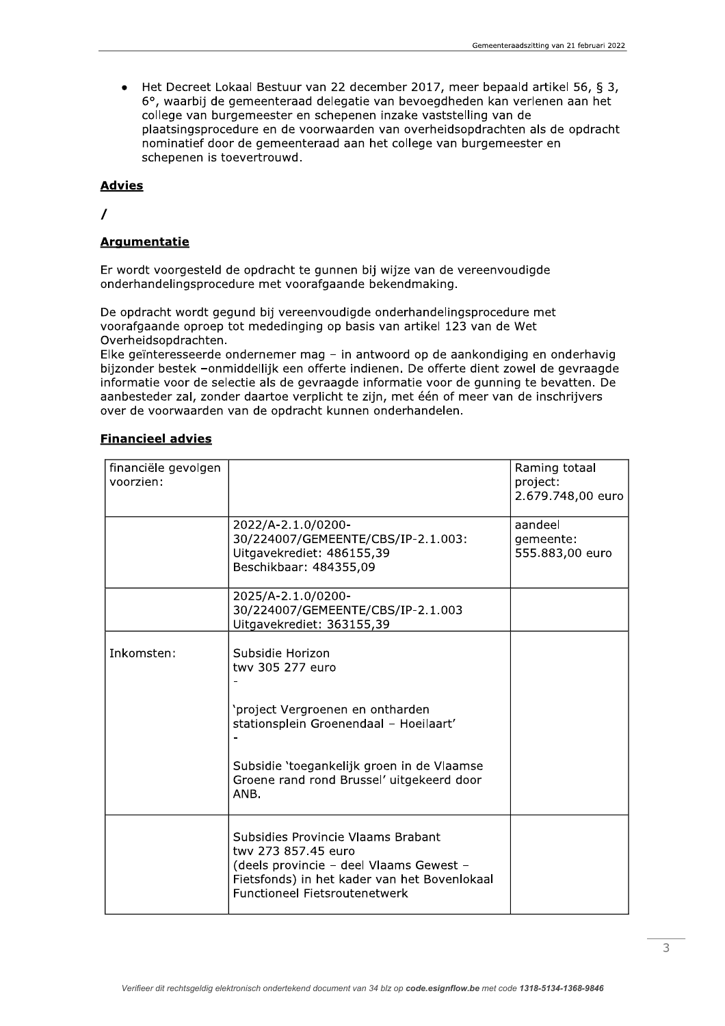Het Decreet Lokaal Bestuur van 22 december 2017, meer bepaald artikel 56, § 3,  $\bullet$ 6°, waarbij de gemeenteraad delegatie van bevoegdheden kan verlenen aan het college van burgemeester en schepenen inzake vaststelling van de plaatsingsprocedure en de voorwaarden van overheidsopdrachten als de opdracht nominatief door de gemeenteraad aan het college van burgemeester en schepenen is toevertrouwd.

### **Advies**

 $\prime$ 

# **Argumentatie**

Er wordt voorgesteld de opdracht te gunnen bij wijze van de vereenvoudigde onderhandelingsprocedure met voorafgaande bekendmaking.

De opdracht wordt gegund bij vereenvoudigde onderhandelingsprocedure met voorafgaande oproep tot mededinging op basis van artikel 123 van de Wet Overheidsopdrachten.

Elke geïnteresseerde ondernemer mag - in antwoord op de aankondiging en onderhavig bijzonder bestek -onmiddellijk een offerte indienen. De offerte dient zowel de gevraagde informatie voor de selectie als de gevraagde informatie voor de gunning te bevatten. De aanbesteder zal, zonder daartoe verplicht te zijn, met één of meer van de inschrijvers over de voorwaarden van de opdracht kunnen onderhandelen.

| financiële gevolgen<br>voorzien: |                                                                                                                                                                                              | Raming totaal<br>project:<br>2.679.748,00 euro |
|----------------------------------|----------------------------------------------------------------------------------------------------------------------------------------------------------------------------------------------|------------------------------------------------|
|                                  | 2022/A-2.1.0/0200-<br>30/224007/GEMEENTE/CBS/IP-2.1.003:<br>Uitgavekrediet: 486155,39<br>Beschikbaar: 484355,09                                                                              | aandeel<br>qemeente:<br>555.883,00 euro        |
|                                  | 2025/A-2.1.0/0200-<br>30/224007/GEMEENTE/CBS/IP-2.1.003<br>Uitgavekrediet: 363155,39                                                                                                         |                                                |
| Inkomsten:                       | Subsidie Horizon<br>twy 305 277 euro                                                                                                                                                         |                                                |
|                                  | 'project Vergroenen en ontharden<br>stationsplein Groenendaal - Hoeilaart'                                                                                                                   |                                                |
|                                  | Subsidie 'toegankelijk groen in de Vlaamse<br>Groene rand rond Brussel' uitgekeerd door<br>ANB.                                                                                              |                                                |
|                                  | Subsidies Provincie Vlaams Brabant<br>twy 273 857.45 euro<br>(deels provincie - deel Vlaams Gewest -<br>Fietsfonds) in het kader van het Bovenlokaal<br><b>Functioneel Fietsroutenetwerk</b> |                                                |

### **Financieel advies**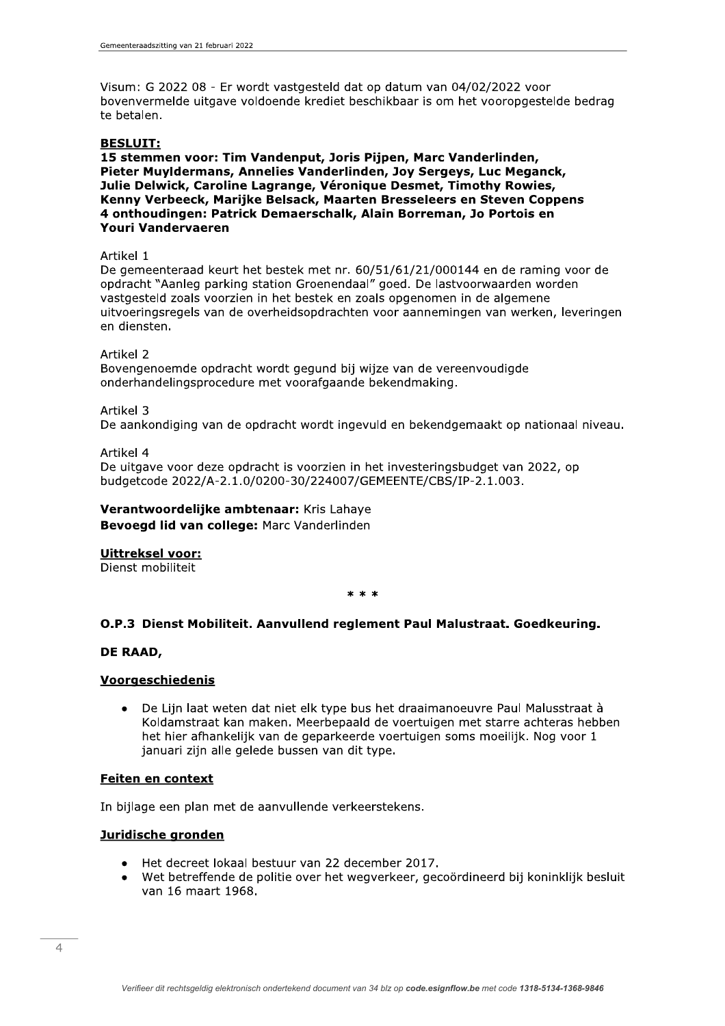Visum: G 2022 08 - Er wordt vastgesteld dat op datum van 04/02/2022 voor bovenvermelde uitgave voldoende krediet beschikbaar is om het vooropgestelde bedrag te betalen.

### **BESLUIT:**

15 stemmen voor: Tim Vandenput, Joris Piipen, Marc Vanderlinden, Pieter Muyldermans, Annelies Vanderlinden, Joy Sergeys, Luc Meganck, Julie Delwick, Caroline Lagrange, Véronique Desmet, Timothy Rowies, Kenny Verbeeck, Marijke Belsack, Maarten Bresseleers en Steven Coppens 4 onthoudingen: Patrick Demaerschalk, Alain Borreman, Jo Portois en **Youri Vandervaeren** 

### Artikel 1

De gemeenteraad keurt het bestek met nr. 60/51/61/21/000144 en de raming voor de opdracht "Aanleg parking station Groenendaal" goed. De lastvoorwaarden worden vastgesteld zoals voorzien in het bestek en zoals opgenomen in de algemene uitvoeringsregels van de overheidsopdrachten voor aannemingen van werken, leveringen en diensten.

### Artikel 2

Bovengenoemde opdracht wordt gegund bij wijze van de vereenvoudigde onderhandelingsprocedure met voorafgaande bekendmaking.

Artikel 3

De aankondiging van de opdracht wordt ingevuld en bekendgemaakt op nationaal niveau.

### Artikel 4

De uitgave voor deze opdracht is voorzien in het investeringsbudget van 2022, op budgetcode 2022/A-2.1.0/0200-30/224007/GEMEENTE/CBS/IP-2.1.003.

## Verantwoordelijke ambtenaar: Kris Lahaye Bevoegd lid van college: Marc Vanderlinden

# Uittreksel voor:

Dienst mobiliteit

 $* * *$ 

# O.P.3 Dienst Mobiliteit. Aanvullend reglement Paul Malustraat. Goedkeuring.

### DE RAAD,

### Voorgeschiedenis

De Lijn laat weten dat niet elk type bus het draaimanoeuvre Paul Malusstraat à  $\bullet$ Koldamstraat kan maken. Meerbepaald de voertuigen met starre achteras hebben het hier afhankelijk van de geparkeerde voertuigen soms moeilijk. Nog voor 1 januari zijn alle gelede bussen van dit type.

### **Feiten en context**

In bijlage een plan met de aanvullende verkeerstekens.

## Juridische gronden

- Het decreet lokaal bestuur van 22 december 2017.
- Wet betreffende de politie over het wegverkeer, gecoördineerd bij koninklijk besluit van 16 maart 1968.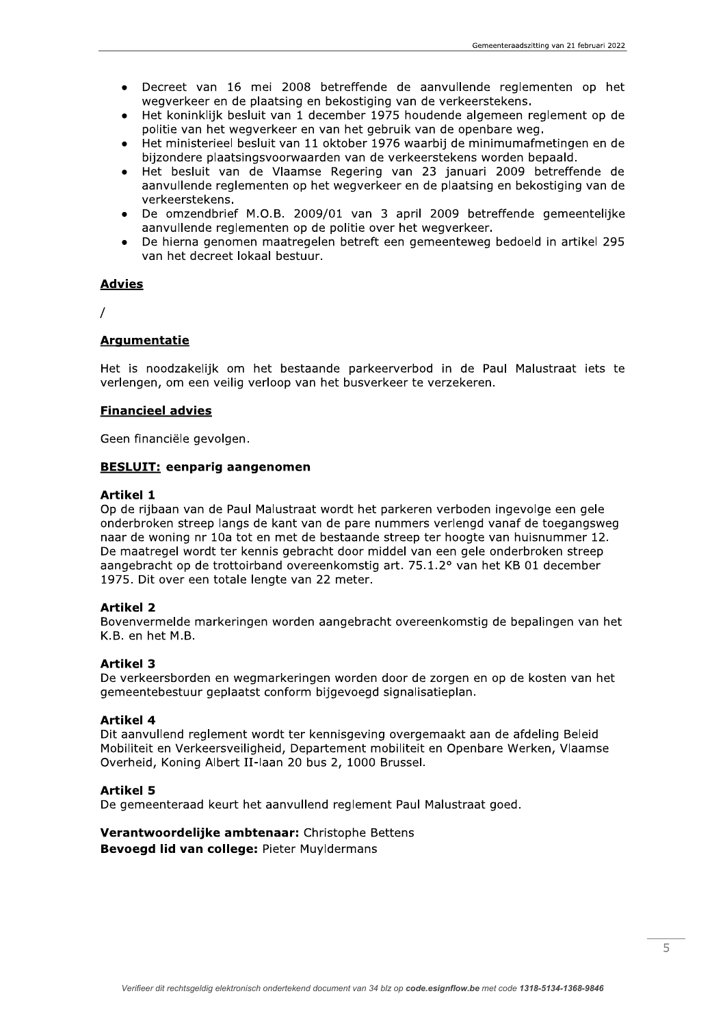- Decreet van 16 mei 2008 betreffende de aanvullende reglementen op het wegverkeer en de plaatsing en bekostiging van de verkeerstekens.
- Het koninklijk besluit van 1 december 1975 houdende algemeen reglement op de politie van het wegverkeer en van het gebruik van de openbare weg.
- Het ministerieel besluit van 11 oktober 1976 waarbij de minimumafmetingen en de bijzondere plaatsingsvoorwaarden van de verkeerstekens worden bepaald.
- Het besluit van de Vlaamse Regering van 23 januari 2009 betreffende de aanvullende reglementen op het wegverkeer en de plaatsing en bekostiging van de verkeerstekens.
- De omzendbrief M.O.B. 2009/01 van 3 april 2009 betreffende gemeentelijke aanvullende reglementen op de politie over het wegverkeer.
- De hierna genomen maatregelen betreft een gemeenteweg bedoeld in artikel 295 van het decreet lokaal bestuur.

### **Advies**

 $\overline{I}$ 

# **Argumentatie**

Het is noodzakelijk om het bestaande parkeerverbod in de Paul Malustraat iets te verlengen, om een veilig verloop van het busverkeer te verzekeren.

### **Financieel advies**

Geen financiële gevolgen.

### **BESLUIT: eenparig aangenomen**

#### **Artikel 1**

Op de rijbaan van de Paul Malustraat wordt het parkeren verboden ingevolge een gele onderbroken streep langs de kant van de pare nummers verlengd vanaf de toegangsweg naar de woning nr 10a tot en met de bestaande streep ter hoogte van huisnummer 12. De maatregel wordt ter kennis gebracht door middel van een gele onderbroken streep aangebracht op de trottoirband overeenkomstig art. 75.1.2° van het KB 01 december 1975. Dit over een totale lengte van 22 meter.

### **Artikel 2**

Bovenvermelde markeringen worden aangebracht overeenkomstig de bepalingen van het K.B. en het M.B.

### **Artikel 3**

De verkeersborden en wegmarkeringen worden door de zorgen en op de kosten van het gemeentebestuur geplaatst conform bijgevoegd signalisatieplan.

### **Artikel 4**

Dit aanvullend reglement wordt ter kennisgeving overgemaakt aan de afdeling Beleid Mobiliteit en Verkeersveiligheid, Departement mobiliteit en Openbare Werken, Vlaamse Overheid, Koning Albert II-laan 20 bus 2, 1000 Brussel.

#### **Artikel 5**

De gemeenteraad keurt het aanvullend reglement Paul Malustraat goed.

### Verantwoordelijke ambtenaar: Christophe Bettens **Bevoegd lid van college: Pieter Muvidermans**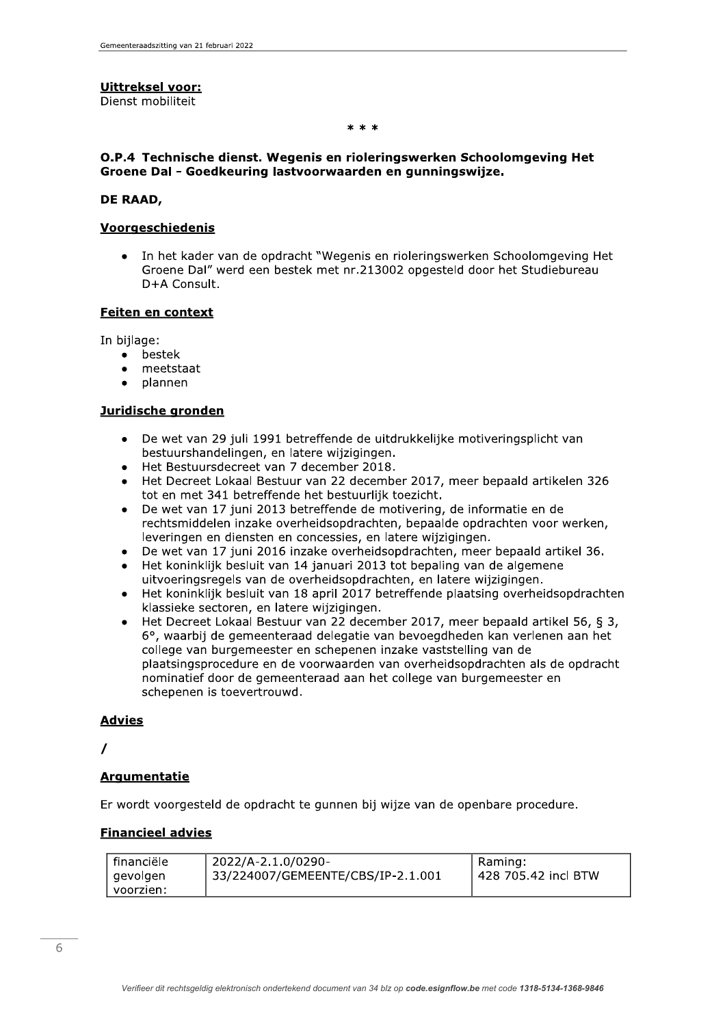# **Uittreksel voor:**

Dienst mobiliteit

 $* * *$ 

## O.P.4 Technische dienst. Wegenis en rioleringswerken Schoolomgeving Het Groene Dal - Goedkeuring lastvoorwaarden en gunningswijze.

### DE RAAD,

### Voorgeschiedenis

In het kader van de opdracht "Wegenis en rioleringswerken Schoolomgeving Het Groene Dal" werd een bestek met nr.213002 opgesteld door het Studiebureau D+A Consult.

### Feiten en context

In bijlage:

- $\bullet$ bestek
- meetstaat
- plannen

### Juridische gronden

- De wet van 29 juli 1991 betreffende de uitdrukkelijke motiveringsplicht van  $\bullet$ bestuurshandelingen, en latere wijzigingen.
- Het Bestuursdecreet van 7 december 2018.
- Het Decreet Lokaal Bestuur van 22 december 2017, meer bepaald artikelen 326 tot en met 341 betreffende het bestuurlijk toezicht.
- De wet van 17 juni 2013 betreffende de motivering, de informatie en de rechtsmiddelen inzake overheidsopdrachten, bepaalde opdrachten voor werken, leveringen en diensten en concessies, en latere wijzigingen.
- De wet van 17 juni 2016 inzake overheidsopdrachten, meer bepaald artikel 36.
- Het koninklijk besluit van 14 januari 2013 tot bepaling van de algemene uitvoeringsregels van de overheidsopdrachten, en latere wijzigingen.
- Het koninklijk besluit van 18 april 2017 betreffende plaatsing overheidsopdrachten klassieke sectoren, en latere wijzigingen.
- Het Decreet Lokaal Bestuur van 22 december 2017, meer bepaald artikel 56, § 3, 6°, waarbij de gemeenteraad delegatie van bevoegdheden kan verlenen aan het college van burgemeester en schepenen inzake vaststelling van de plaatsingsprocedure en de voorwaarden van overheidsopdrachten als de opdracht nominatief door de gemeenteraad aan het college van burgemeester en schepenen is toevertrouwd.

### **Advies**

 $\prime$ 

# **Argumentatie**

Er wordt voorgesteld de opdracht te gunnen bij wijze van de openbare procedure.

# **Financieel advies**

| l financiële | 2022/A-2.1.0/0290-                | Raming:             |
|--------------|-----------------------------------|---------------------|
| gevolgen     | 33/224007/GEMEENTE/CBS/IP-2.1.001 | 428 705.42 incl BTW |
| l voorzien:  |                                   |                     |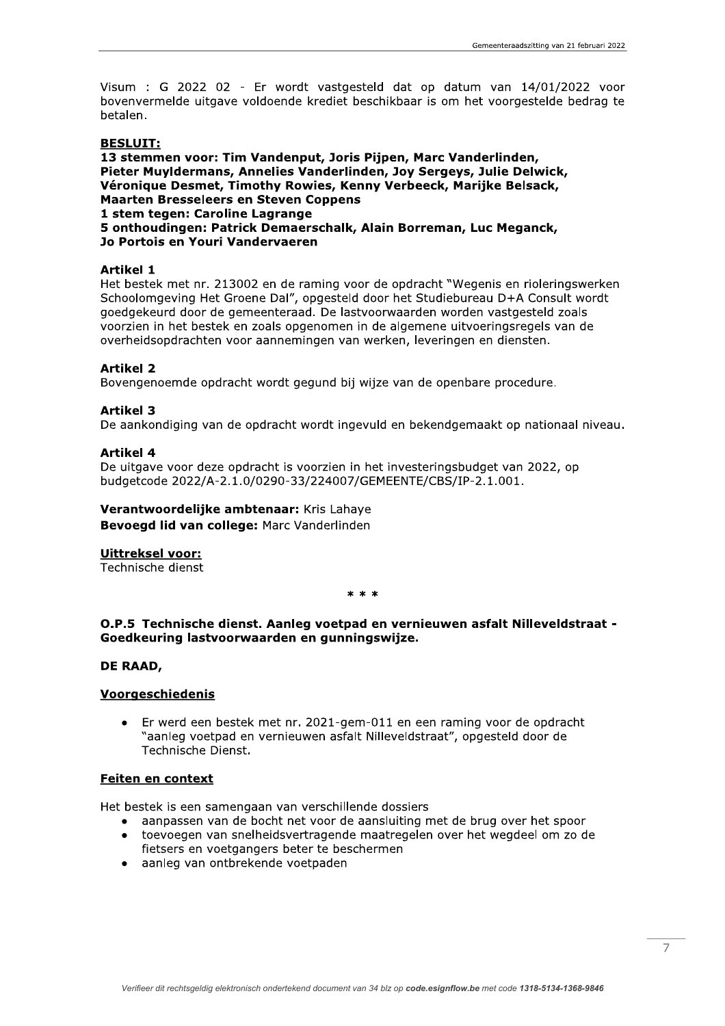Visum : G 2022 02 - Er wordt vastgesteld dat op datum van 14/01/2022 voor bovenvermelde uitgave voldoende krediet beschikbaar is om het voorgestelde bedrag te betalen.

## **BESLUIT:**

13 stemmen voor: Tim Vandenput, Joris Piipen, Marc Vanderlinden, Pieter Muyldermans, Annelies Vanderlinden, Joy Sergeys, Julie Delwick, Véronique Desmet, Timothy Rowies, Kenny Verbeeck, Marijke Belsack, **Maarten Bresseleers en Steven Coppens** 1 stem tegen: Caroline Lagrange 5 onthoudingen: Patrick Demaerschalk, Alain Borreman, Luc Meganck, Jo Portois en Youri Vandervaeren

### **Artikel 1**

Het bestek met nr. 213002 en de raming voor de opdracht "Wegenis en rioleringswerken Schoolomgeving Het Groene Dal", opgesteld door het Studiebureau D+A Consult wordt goedgekeurd door de gemeenteraad. De lastvoorwaarden worden vastgesteld zoals voorzien in het bestek en zoals opgenomen in de algemene uitvoeringsregels van de overheidsopdrachten voor aannemingen van werken, leveringen en diensten.

### **Artikel 2**

Bovengenoemde opdracht wordt gegund bij wijze van de openbare procedure.

### **Artikel 3**

De aankondiging van de opdracht wordt ingevuld en bekendgemaakt op nationaal niveau.

### **Artikel 4**

De uitgave voor deze opdracht is voorzien in het investeringsbudget van 2022, op budgetcode 2022/A-2.1.0/0290-33/224007/GEMEENTE/CBS/IP-2.1.001.

# Verantwoordelijke ambtenaar: Kris Lahaye

Bevoegd lid van college: Marc Vanderlinden

#### Uittreksel voor:

Technische dienst

 $* * *$ 

## O.P.5 Technische dienst. Aanleg voetpad en vernieuwen asfalt Nilleveldstraat -Goedkeuring lastvoorwaarden en gunningswijze.

### DE RAAD,

### Voorgeschiedenis

Er werd een bestek met nr. 2021-gem-011 en een raming voor de opdracht "aanleg voetpad en vernieuwen asfalt Nilleveldstraat", opgesteld door de Technische Dienst.

### **Feiten en context**

Het bestek is een samengaan van verschillende dossiers

- aanpassen van de bocht net voor de aansluiting met de brug over het spoor
- toevoegen van snelheidsvertragende maatregelen over het wegdeel om zo de fietsers en voetgangers beter te beschermen
- · aanleg van ontbrekende voetpaden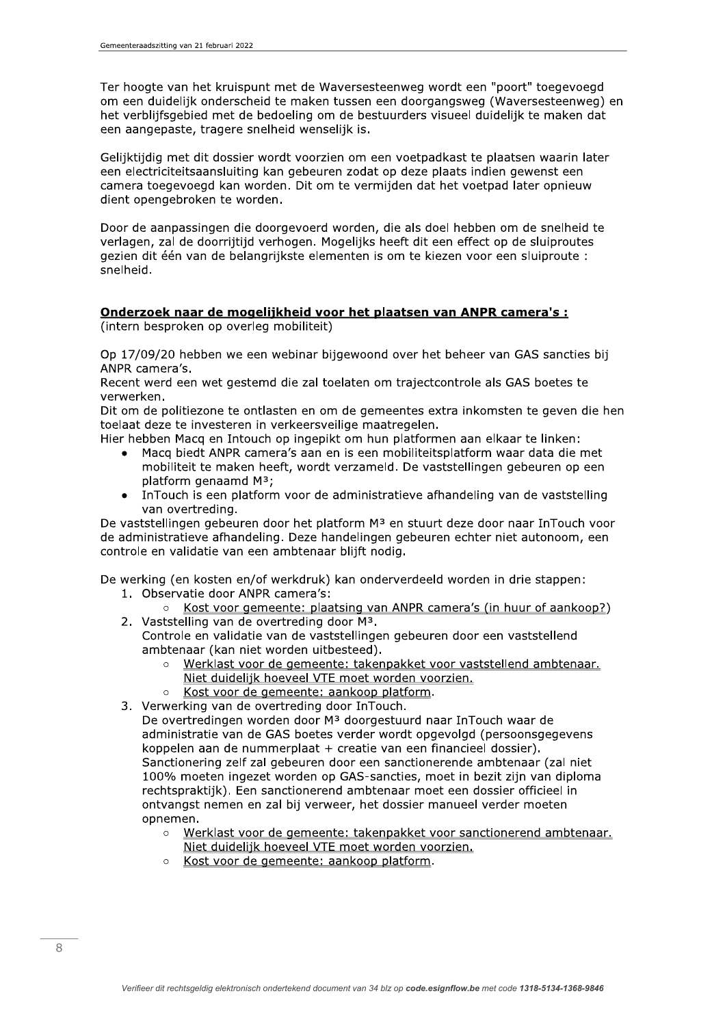Ter hoogte van het kruispunt met de Waversesteenweg wordt een "poort" toegevoegd om een duidelijk onderscheid te maken tussen een doorgangsweg (Waversesteenweg) en het verblijfsgebied met de bedoeling om de bestuurders visueel duidelijk te maken dat een aangepaste, tragere snelheid wenselijk is.

Gelijktijdig met dit dossier wordt voorzien om een voetpadkast te plaatsen waarin later een electriciteitsaansluiting kan gebeuren zodat op deze plaats indien gewenst een camera toegevoegd kan worden. Dit om te vermijden dat het voetpad later opnieuw dient opengebroken te worden.

Door de aanpassingen die doorgevoerd worden, die als doel hebben om de snelheid te verlagen, zal de doorrijtijd verhogen. Mogelijks heeft dit een effect op de sluiproutes gezien dit één van de belangrijkste elementen is om te kiezen voor een sluiproute : snelheid.

### Onderzoek naar de mogelijkheid voor het plaatsen van ANPR camera's : (intern besproken op overleg mobiliteit)

Op 17/09/20 hebben we een webinar bijgewoond over het beheer van GAS sancties bij ANPR camera's.

Recent werd een wet gestemd die zal toelaten om trajectcontrole als GAS boetes te verwerken.

Dit om de politiezone te ontlasten en om de gemeentes extra inkomsten te geven die hen toelaat deze te investeren in verkeersveilige maatregelen.

Hier hebben Macq en Intouch op ingepikt om hun platformen aan elkaar te linken:

- Macq biedt ANPR camera's aan en is een mobiliteitsplatform waar data die met mobiliteit te maken heeft, wordt verzameld. De vaststellingen gebeuren op een platform genaamd M<sup>3</sup>;
- InTouch is een platform voor de administratieve afhandeling van de vaststelling  $\bullet$ van overtreding.

De vaststellingen gebeuren door het platform M<sup>3</sup> en stuurt deze door naar InTouch voor de administratieve afhandeling. Deze handelingen gebeuren echter niet autonoom, een controle en validatie van een ambtenaar blijft nodig.

De werking (en kosten en/of werkdruk) kan onderverdeeld worden in drie stappen: 1. Observatie door ANPR camera's:

- Kost voor gemeente: plaatsing van ANPR camera's (in huur of aankoop?) 2. Vaststelling van de overtreding door M<sup>3</sup>.
	- Controle en validatie van de vaststellingen gebeuren door een vaststellend ambtenaar (kan niet worden uitbesteed).
		- Werklast voor de gemeente: takenpakket voor vaststellend ambtenaar. Niet duidelijk hoeveel VTE moet worden voorzien.
		- Kost voor de gemeente: aankoop platform.  $\circ$
- 3. Verwerking van de overtreding door InTouch.
	- De overtredingen worden door M<sup>3</sup> doorgestuurd naar InTouch waar de administratie van de GAS boetes verder wordt opgevolgd (persoonsgegevens koppelen aan de nummerplaat + creatie van een financieel dossier). Sanctionering zelf zal gebeuren door een sanctionerende ambtenaar (zal niet 100% moeten ingezet worden op GAS-sancties, moet in bezit zijn van diploma rechtspraktijk). Een sanctionerend ambtenaar moet een dossier officieel in ontvangst nemen en zal bij verweer, het dossier manueel verder moeten opnemen.
		- Werklast voor de gemeente: takenpakket voor sanctionerend ambtenaar.  $\circ$ Niet duidelijk hoeveel VTE moet worden voorzien.
		- Kost voor de gemeente: aankoop platform.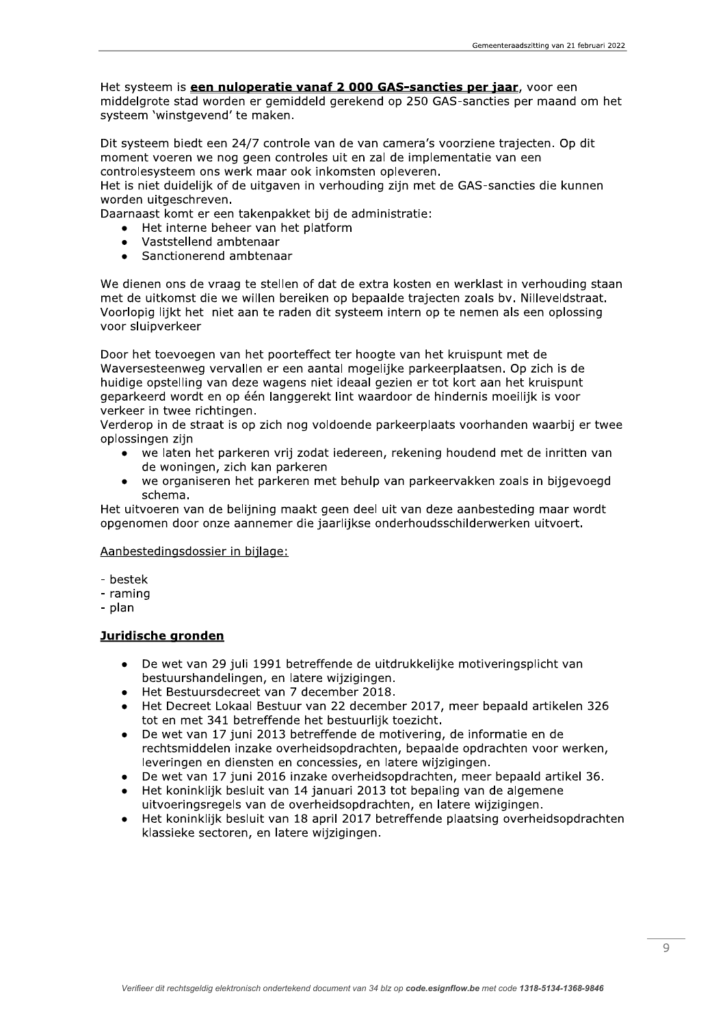Het systeem is een nuloperatie vanaf 2 000 GAS-sancties per jaar, voor een middelgrote stad worden er gemiddeld gerekend op 250 GAS-sancties per maand om het systeem 'winstgevend' te maken.

Dit systeem biedt een 24/7 controle van de van camera's voorziene trajecten. Op dit moment voeren we nog geen controles uit en zal de implementatie van een controlesysteem ons werk maar ook inkomsten opleveren.

Het is niet duidelijk of de uitgaven in verhouding zijn met de GAS-sancties die kunnen worden uitgeschreven.

Daarnaast komt er een takenpakket bij de administratie:

- Het interne beheer van het platform
- Vaststellend ambtenaar
- Sanctionerend ambtenaar  $\bullet$

We dienen ons de vraag te stellen of dat de extra kosten en werklast in verhouding staan met de uitkomst die we willen bereiken op bepaalde trajecten zoals bv. Nilleveldstraat. Voorlopig lijkt het niet aan te raden dit systeem intern op te nemen als een oplossing voor sluipverkeer

Door het toevoegen van het poorteffect ter hoogte van het kruispunt met de Waversesteenweg vervallen er een aantal mogelijke parkeerplaatsen. Op zich is de huidige opstelling van deze wagens niet ideaal gezien er tot kort aan het kruispunt geparkeerd wordt en op één langgerekt lint waardoor de hindernis moeilijk is voor verkeer in twee richtingen.

Verderop in de straat is op zich nog voldoende parkeerplaats voorhanden waarbij er twee oplossingen zijn

- we laten het parkeren vrij zodat iedereen, rekening houdend met de inritten van de woningen, zich kan parkeren
- we organiseren het parkeren met behulp van parkeervakken zoals in bijgevoegd  $\bullet$ schema.

Het uitvoeren van de belijning maakt geen deel uit van deze aanbesteding maar wordt opgenomen door onze aannemer die jaarlijkse onderhoudsschilderwerken uitvoert.

### Aanbestedingsdossier in bijlage:

- bestek
- raming
- plan

## Juridische gronden

- De wet van 29 juli 1991 betreffende de uitdrukkelijke motiveringsplicht van  $\bullet$ bestuurshandelingen, en latere wijzigingen.
- Het Bestuursdecreet van 7 december 2018.
- Het Decreet Lokaal Bestuur van 22 december 2017, meer bepaald artikelen 326 tot en met 341 betreffende het bestuurlijk toezicht.
- De wet van 17 juni 2013 betreffende de motivering, de informatie en de  $\bullet$ rechtsmiddelen inzake overheidsopdrachten, bepaalde opdrachten voor werken, leveringen en diensten en concessies, en latere wijzigingen.
- De wet van 17 juni 2016 inzake overheidsopdrachten, meer bepaald artikel 36.
- Het koninklijk besluit van 14 januari 2013 tot bepaling van de algemene uitvoeringsregels van de overheidsopdrachten, en latere wijzigingen.
- Het koninklijk besluit van 18 april 2017 betreffende plaatsing overheidsopdrachten klassieke sectoren, en latere wijzigingen.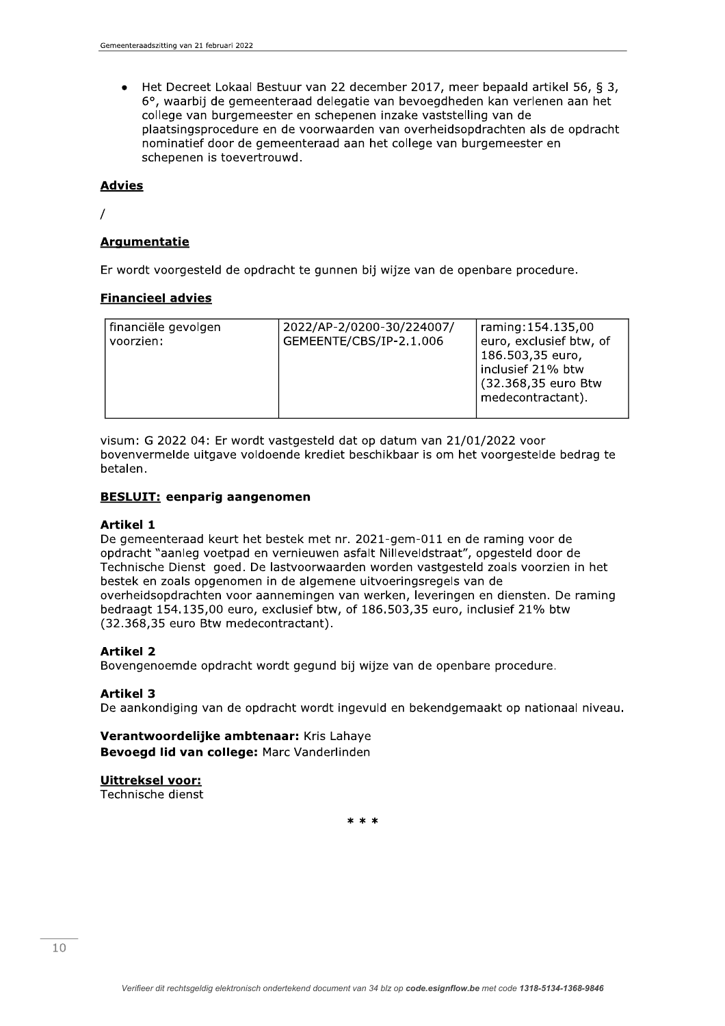Het Decreet Lokaal Bestuur van 22 december 2017, meer bepaald artikel 56, § 3,  $\bullet$ 6°, waarbij de gemeenteraad delegatie van bevoegdheden kan verlenen aan het college van burgemeester en schepenen inzake vaststelling van de plaatsingsprocedure en de voorwaarden van overheidsopdrachten als de opdracht nominatief door de gemeenteraad aan het college van burgemeester en schepenen is toevertrouwd.

## **Advies**

 $\prime$ 

# **Argumentatie**

Er wordt voorgesteld de opdracht te gunnen bij wijze van de openbare procedure.

# **Financieel advies**

| financiële gevolgen | 2022/AP-2/0200-30/224007/ | raming: 154.135,00                          |
|---------------------|---------------------------|---------------------------------------------|
| voorzien:           | GEMEENTE/CBS/IP-2.1.006   | euro, exclusief btw, of<br>186.503,35 euro, |
|                     |                           | inclusief 21% btw                           |
|                     |                           | (32.368,35 euro Btw                         |
|                     |                           | medecontractant).                           |

visum: G 2022 04: Er wordt vastgesteld dat op datum van 21/01/2022 voor bovenvermelde uitgave voldoende krediet beschikbaar is om het voorgestelde bedrag te betalen.

## **BESLUIT: eenparig aangenomen**

### **Artikel 1**

De gemeenteraad keurt het bestek met nr. 2021-gem-011 en de raming voor de opdracht "aanleg voetpad en vernieuwen asfalt Nilleveldstraat", opgesteld door de Technische Dienst goed. De lastvoorwaarden worden vastgesteld zoals voorzien in het bestek en zoals opgenomen in de algemene uitvoeringsregels van de overheidsopdrachten voor aannemingen van werken, leveringen en diensten. De raming bedraagt 154.135,00 euro, exclusief btw, of 186.503,35 euro, inclusief 21% btw (32.368,35 euro Btw medecontractant).

# **Artikel 2**

Bovengenoemde opdracht wordt gegund bij wijze van de openbare procedure.

# **Artikel 3**

De aankondiging van de opdracht wordt ingevuld en bekendgemaakt op nationaal niveau.

Verantwoordelijke ambtenaar: Kris Lahaye Bevoegd lid van college: Marc Vanderlinden

# **Uittreksel voor:**

Technische dienst

 $* * *$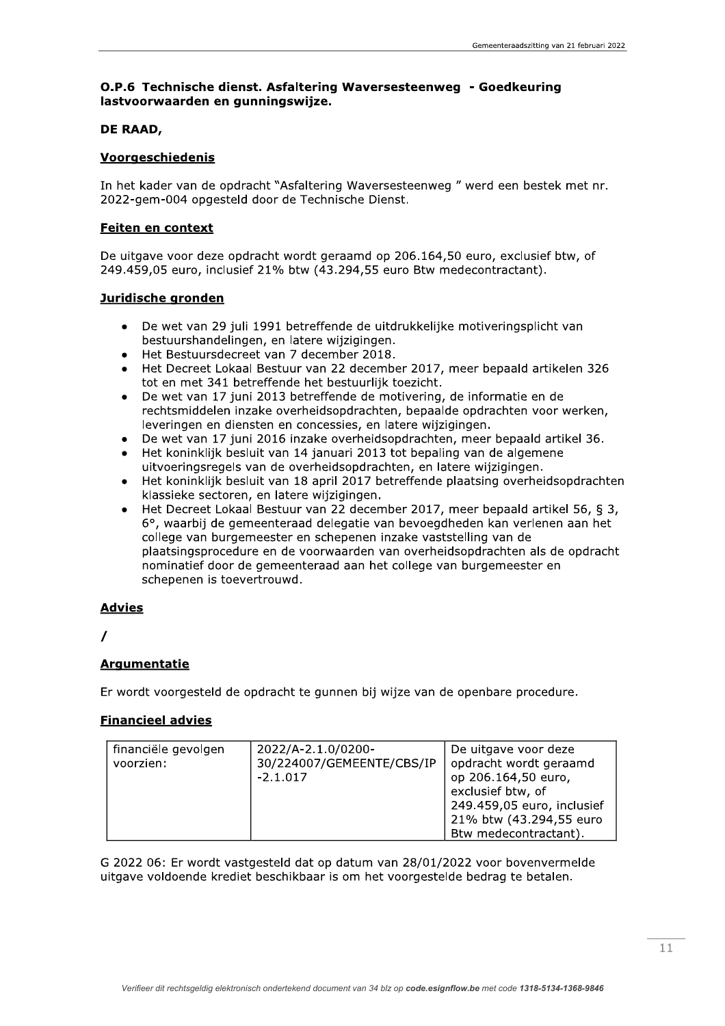# O.P.6 Technische dienst. Asfaltering Waversesteenweg - Goedkeuring lastvoorwaarden en gunningswijze.

## DE RAAD,

## Voorgeschiedenis

In het kader van de opdracht "Asfaltering Waversesteenweg" werd een bestek met nr. 2022-gem-004 opgesteld door de Technische Dienst.

## **Feiten en context**

De uitgave voor deze opdracht wordt geraamd op 206.164,50 euro, exclusief btw, of 249.459,05 euro, inclusief 21% btw (43.294,55 euro Btw medecontractant).

## Juridische gronden

- De wet van 29 juli 1991 betreffende de uitdrukkelijke motiveringsplicht van bestuurshandelingen, en latere wijzigingen.
- Het Bestuursdecreet van 7 december 2018.
- Het Decreet Lokaal Bestuur van 22 december 2017, meer bepaald artikelen 326 tot en met 341 betreffende het bestuurlijk toezicht.
- De wet van 17 juni 2013 betreffende de motivering, de informatie en de rechtsmiddelen inzake overheidsopdrachten, bepaalde opdrachten voor werken, leveringen en diensten en concessies, en latere wijzigingen.
- De wet van 17 juni 2016 inzake overheidsopdrachten, meer bepaald artikel 36.
- Het koninklijk besluit van 14 januari 2013 tot bepaling van de algemene uitvoeringsregels van de overheidsopdrachten, en latere wijzigingen.
- Het koninklijk besluit van 18 april 2017 betreffende plaatsing overheidsopdrachten klassieke sectoren, en latere wijzigingen.
- Het Decreet Lokaal Bestuur van 22 december 2017, meer bepaald artikel 56, § 3, 6°, waarbij de gemeenteraad delegatie van bevoegdheden kan verlenen aan het college van burgemeester en schepenen inzake vaststelling van de plaatsingsprocedure en de voorwaarden van overheidsopdrachten als de opdracht nominatief door de gemeenteraad aan het college van burgemeester en schepenen is toevertrouwd.

# **Advies**

# **Argumentatie**

Er wordt voorgesteld de opdracht te gunnen bij wijze van de openbare procedure.

# **Financieel advies**

| financiële gevolgen<br>voorzien: | 2022/A-2.1.0/0200-<br>30/224007/GEMEENTE/CBS/IP<br>$-2.1.017$ | De uitgave voor deze<br>opdracht wordt geraamd<br>op 206.164,50 euro,<br>exclusief btw, of<br>249.459,05 euro, inclusief<br>21% btw (43.294,55 euro |
|----------------------------------|---------------------------------------------------------------|-----------------------------------------------------------------------------------------------------------------------------------------------------|
|                                  |                                                               | Btw medecontractant).                                                                                                                               |

G 2022 06: Er wordt vastgesteld dat op datum van 28/01/2022 voor bovenvermelde uitgave voldoende krediet beschikbaar is om het voorgestelde bedrag te betalen.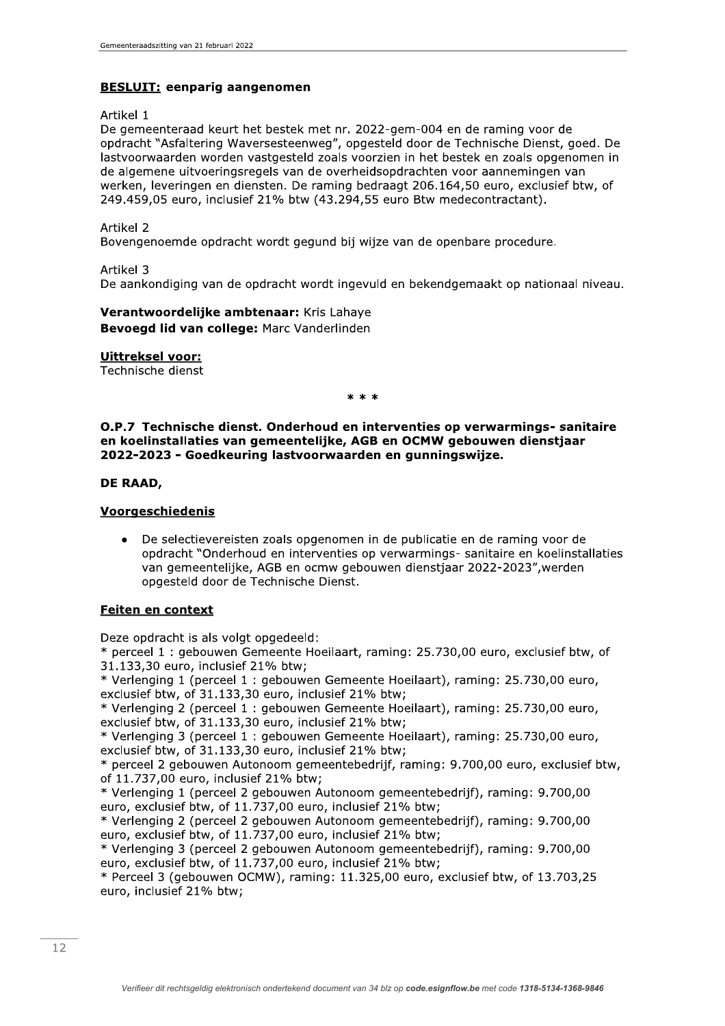# **BESLUIT:** eenparig aangenomen

Artikel 1

De gemeenteraad keurt het bestek met nr. 2022-gem-004 en de raming voor de opdracht "Asfaltering Waversesteenweg", opgesteld door de Technische Dienst, goed. De lastyoorwaarden worden vastgesteld zoals voorzien in het bestek en zoals opgenomen in de algemene uitvoeringsregels van de overheidsopdrachten voor aannemingen van werken, leveringen en diensten. De raming bedraagt 206.164,50 euro, exclusief btw, of 249.459,05 euro, inclusief 21% btw (43.294,55 euro Btw medecontractant).

Artikel 2

Bovengenoemde opdracht wordt gegund bij wijze van de openbare procedure.

Artikel 3

De aankondiging van de opdracht wordt ingevuld en bekendgemaakt op nationaal niveau.

Verantwoordelijke ambtenaar: Kris Lahaye Bevoegd lid van college: Marc Vanderlinden

**Uittreksel voor:** 

Technische dienst

 $* * *$ 

O.P.7 Technische dienst. Onderhoud en interventies op verwarmings- sanitaire en koelinstallaties van gemeentelijke, AGB en OCMW gebouwen dienstjaar 2022-2023 - Goedkeuring lastvoorwaarden en gunningswijze.

## DE RAAD,

## **Voorgeschiedenis**

De selectievereisten zoals opgenomen in de publicatie en de raming voor de opdracht "Onderhoud en interventies op verwarmings- sanitaire en koelinstallaties van gemeentelijke, AGB en ocmw gebouwen dienstjaar 2022-2023", werden opgesteld door de Technische Dienst.

# Feiten en context

Deze opdracht is als volgt opgedeeld:

\* perceel 1 : gebouwen Gemeente Hoeilaart, raming: 25.730,00 euro, exclusief btw, of 31.133,30 euro, inclusief 21% btw;

\* Verlenging 1 (perceel 1 : gebouwen Gemeente Hoeilaart), raming: 25.730,00 euro, exclusief btw, of 31.133,30 euro, inclusief 21% btw;

\* Verlenging 2 (perceel 1: gebouwen Gemeente Hoeilaart), raming: 25.730,00 euro, exclusief btw, of 31.133,30 euro, inclusief 21% btw;

\* Verlenging 3 (perceel 1: gebouwen Gemeente Hoeilaart), raming: 25.730,00 euro, exclusief btw, of 31.133,30 euro, inclusief 21% btw;

\* perceel 2 gebouwen Autonoom gemeentebedrijf, raming: 9.700,00 euro, exclusief btw, of 11.737,00 euro, inclusief 21% btw;

\* Verlenging 1 (perceel 2 gebouwen Autonoom gemeentebedrijf), raming: 9.700,00 euro, exclusief btw, of 11.737,00 euro, inclusief 21% btw;

\* Verlenging 2 (perceel 2 gebouwen Autonoom gemeentebedrijf), raming: 9.700,00 euro, exclusief btw, of 11.737,00 euro, inclusief 21% btw;

\* Verlenging 3 (perceel 2 gebouwen Autonoom gemeentebedrijf), raming: 9.700,00 euro, exclusief btw, of 11.737,00 euro, inclusief 21% btw;

\* Perceel 3 (gebouwen OCMW), raming: 11.325,00 euro, exclusief btw, of 13.703,25 euro, inclusief 21% btw;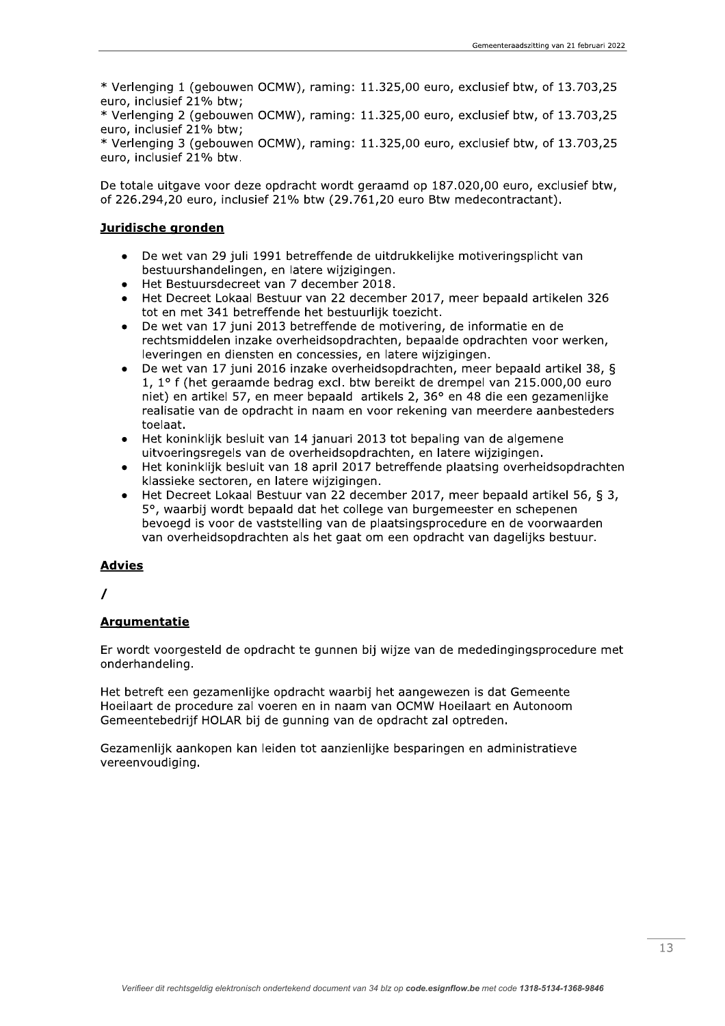\* Verlenging 1 (gebouwen OCMW), raming: 11.325,00 euro, exclusief btw, of 13.703,25 euro, inclusief 21% btw;

\* Verlenging 2 (gebouwen OCMW), raming: 11.325,00 euro, exclusief btw, of 13.703,25 euro, inclusief 21% btw;

\* Verlenging 3 (gebouwen OCMW), raming: 11.325,00 euro, exclusief btw, of 13.703,25 euro, inclusief 21% btw.

De totale uitgave voor deze opdracht wordt geraamd op 187,020,00 euro, exclusief btw, of 226.294,20 euro, inclusief 21% btw (29.761,20 euro Btw medecontractant).

## Juridische gronden

- De wet van 29 juli 1991 betreffende de uitdrukkelijke motiveringsplicht van bestuurshandelingen, en latere wijzigingen.
- Het Bestuursdecreet van 7 december 2018.
- Het Decreet Lokaal Bestuur van 22 december 2017, meer bepaald artikelen 326 tot en met 341 betreffende het bestuurlijk toezicht.
- De wet van 17 juni 2013 betreffende de motivering, de informatie en de rechtsmiddelen inzake overheidsopdrachten, bepaalde opdrachten voor werken, leveringen en diensten en concessies, en latere wijzigingen.
- De wet van 17 juni 2016 inzake overheidsopdrachten, meer bepaald artikel 38, § 1, 1° f (het geraamde bedrag excl. btw bereikt de drempel van 215.000,00 euro niet) en artikel 57, en meer bepaald artikels 2, 36° en 48 die een gezamenlijke realisatie van de opdracht in naam en voor rekening van meerdere aanbesteders toelaat.
- Het koninklijk besluit van 14 januari 2013 tot bepaling van de algemene uitvoeringsregels van de overheidsopdrachten, en latere wijzigingen.
- Het koninklijk besluit van 18 april 2017 betreffende plaatsing overheidsopdrachten  $\bullet$ klassieke sectoren, en latere wijzigingen.
- Het Decreet Lokaal Bestuur van 22 december 2017, meer bepaald artikel 56, § 3, 5°, waarbij wordt bepaald dat het college van burgemeester en schepenen bevoegd is voor de vaststelling van de plaatsingsprocedure en de voorwaarden van overheidsopdrachten als het gaat om een opdracht van dagelijks bestuur.

# **Advies**

# **Argumentatie**

Er wordt voorgesteld de opdracht te gunnen bij wijze van de mededingingsprocedure met onderhandeling.

Het betreft een gezamenlijke opdracht waarbij het aangewezen is dat Gemeente Hoeilaart de procedure zal voeren en in naam van OCMW Hoeilaart en Autonoom Gemeentebedrijf HOLAR bij de gunning van de opdracht zal optreden.

Gezamenlijk aankopen kan leiden tot aanzienlijke besparingen en administratieve vereenvoudiging.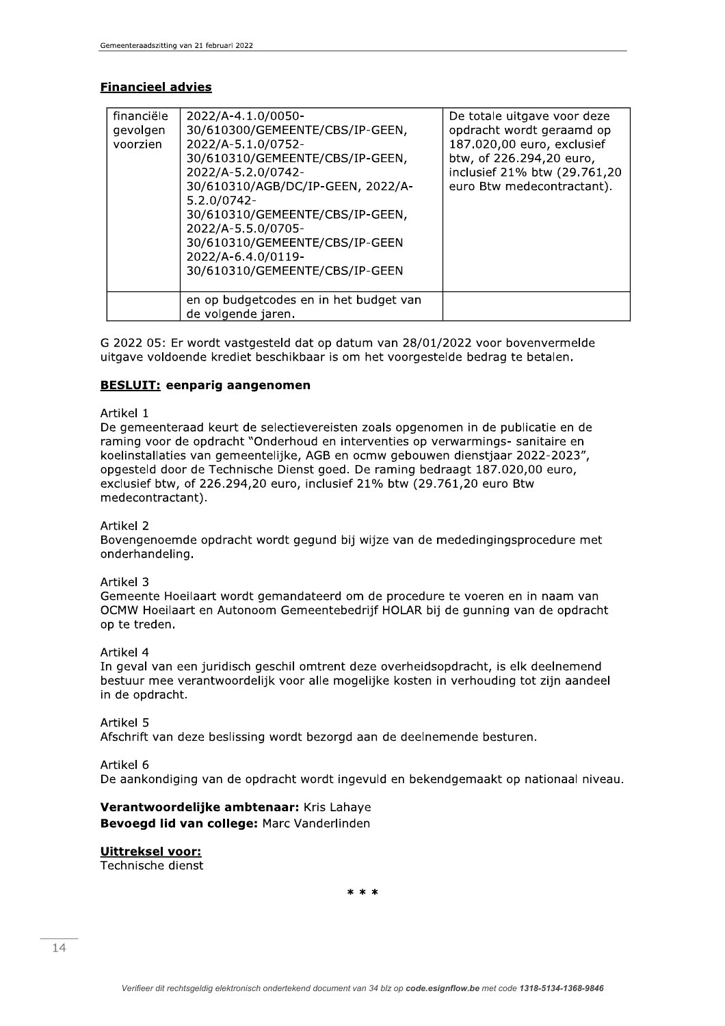## **Financieel advies**

| financiële<br>gevolgen<br>voorzien | 2022/A-4.1.0/0050-<br>30/610300/GEMEENTE/CBS/IP-GEEN,<br>2022/A-5.1.0/0752-<br>30/610310/GEMEENTE/CBS/IP-GEEN,<br>2022/A-5.2.0/0742-<br>30/610310/AGB/DC/IP-GEEN, 2022/A-<br>$5.2.0/0742 -$<br>30/610310/GEMEENTE/CBS/IP-GEEN,<br>2022/A-5.5.0/0705-<br>30/610310/GEMEENTE/CBS/IP-GEEN<br>2022/A-6.4.0/0119-<br>30/610310/GEMEENTE/CBS/IP-GEEN | De totale uitgave voor deze<br>opdracht wordt geraamd op<br>187.020,00 euro, exclusief<br>btw, of 226.294,20 euro,<br>inclusief 21% btw (29.761,20<br>euro Btw medecontractant). |
|------------------------------------|------------------------------------------------------------------------------------------------------------------------------------------------------------------------------------------------------------------------------------------------------------------------------------------------------------------------------------------------|----------------------------------------------------------------------------------------------------------------------------------------------------------------------------------|
|                                    | en op budgetcodes en in het budget van<br>de volgende jaren.                                                                                                                                                                                                                                                                                   |                                                                                                                                                                                  |

G 2022 05: Er wordt vastgesteld dat op datum van 28/01/2022 voor bovenvermelde uitgave voldoende krediet beschikbaar is om het voorgestelde bedrag te betalen.

### **BESLUIT:** eenparig aangenomen

### Artikel 1

De gemeenteraad keurt de selectievereisten zoals opgenomen in de publicatie en de raming voor de opdracht "Onderhoud en interventies op verwarmings- sanitaire en koelinstallaties van gemeentelijke, AGB en ocmw gebouwen dienstjaar 2022-2023", opgesteld door de Technische Dienst goed. De raming bedraagt 187.020,00 euro, exclusief btw, of 226.294,20 euro, inclusief 21% btw (29.761,20 euro Btw medecontractant).

### Artikel 2

Bovengenoemde opdracht wordt gegund bij wijze van de mededingingsprocedure met onderhandeling.

### Artikel 3

Gemeente Hoeilaart wordt gemandateerd om de procedure te voeren en in naam van OCMW Hoeilaart en Autonoom Gemeentebedrijf HOLAR bij de gunning van de opdracht op te treden.

### Artikel 4

In geval van een juridisch geschil omtrent deze overheidsopdracht, is elk deelnemend bestuur mee verantwoordelijk voor alle mogelijke kosten in verhouding tot zijn aandeel in de opdracht.

#### Artikel 5

Afschrift van deze beslissing wordt bezorgd aan de deelnemende besturen.

### Artikel 6

De aankondiging van de opdracht wordt ingevuld en bekendgemaakt op nationaal niveau.

### Verantwoordelijke ambtenaar: Kris Lahaye Bevoegd lid van college: Marc Vanderlinden

# **Uittreksel voor:**

Technische dienst

 $* * *$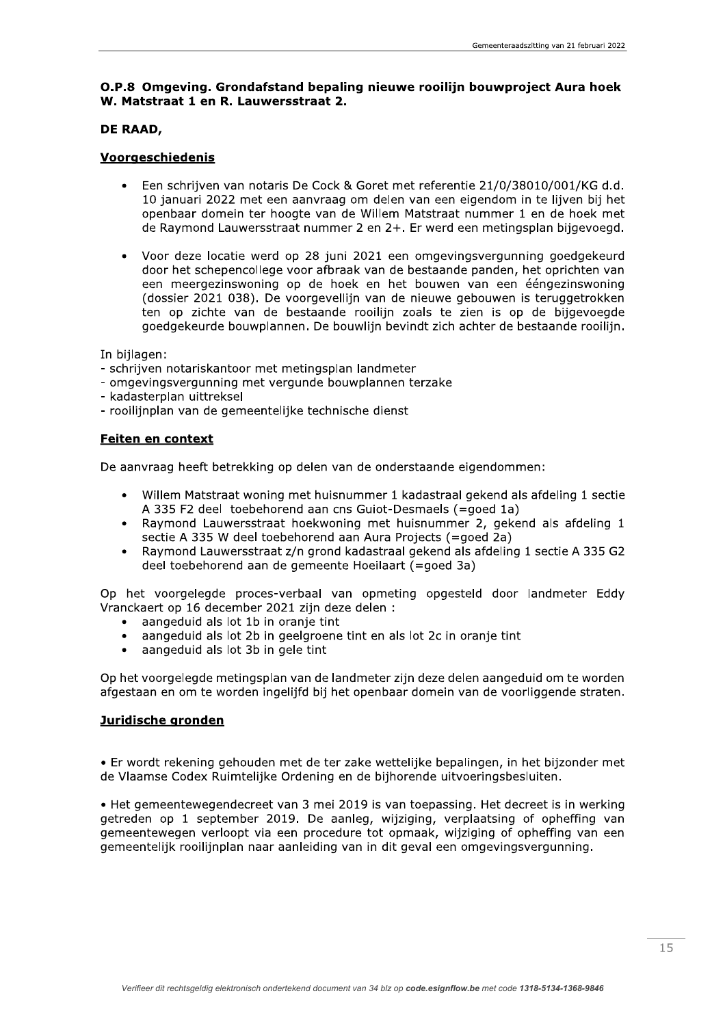## O.P.8 Omgeving. Grondafstand bepaling nieuwe rooilijn bouwproject Aura hoek W. Matstraat 1 en R. Lauwersstraat 2.

## DE RAAD.

## Voorgeschiedenis

- Een schrijven van notaris De Cock & Goret met referentie 21/0/38010/001/KG d.d. 10 januari 2022 met een aanvraag om delen van een eigendom in te lijven bij het openbaar domein ter hoogte van de Willem Matstraat nummer 1 en de hoek met de Raymond Lauwersstraat nummer 2 en 2+. Er werd een metingsplan bijgevoegd.
- Voor deze locatie werd op 28 juni 2021 een omgevingsvergunning goedgekeurd  $\bullet$ door het schepencollege voor afbraak van de bestaande panden, het oprichten van een meergezinswoning op de hoek en het bouwen van een ééngezinswoning (dossier 2021 038). De voorgevellijn van de nieuwe gebouwen is teruggetrokken ten op zichte van de bestaande rooilijn zoals te zien is op de bijgevoegde goedgekeurde bouwplannen. De bouwlijn bevindt zich achter de bestaande rooilijn.

In biilagen:

- schrijven notariskantoor met metingsplan landmeter
- omgevingsvergunning met vergunde bouwplannen terzake
- kadasterplan uittreksel
- rooilijnplan van de gemeentelijke technische dienst

## Feiten en context

De aanvraag heeft betrekking op delen van de onderstaande eigendommen:

- Willem Matstraat woning met huisnummer 1 kadastraal gekend als afdeling 1 sectie  $\bullet$ A 335 F2 deel toebehorend aan cns Guiot-Desmaels (=qoed 1a)
- Raymond Lauwersstraat hoekwoning met huisnummer 2, gekend als afdeling 1 sectie A 335 W deel toebehorend aan Aura Projects (=goed 2a)
- Raymond Lauwersstraat z/n grond kadastraal gekend als afdeling 1 sectie A 335 G2  $\bullet$ deel toebehorend aan de gemeente Hoeilaart (=goed 3a)

Op het voorgelegde proces-verbaal van opmeting opgesteld door landmeter Eddy Vranckaert op 16 december 2021 zijn deze delen :

- aangeduid als lot 1b in oranje tint
- aangeduid als lot 2b in geelgroene tint en als lot 2c in oranje tint  $\bullet$
- aangeduid als lot 3b in gele tint  $\bullet$

Op het voorgelegde metingsplan van de landmeter zijn deze delen aangeduid om te worden afgestaan en om te worden ingelijfd bij het openbaar domein van de voorliggende straten.

# Juridische gronden

• Er wordt rekening gehouden met de ter zake wettelijke bepalingen, in het bijzonder met de Vlaamse Codex Ruimtelijke Ordening en de bijhorende uitvoeringsbesluiten.

• Het gemeentewegendecreet van 3 mei 2019 is van toepassing. Het decreet is in werking getreden op 1 september 2019. De aanleg, wijziging, verplaatsing of opheffing van gemeentewegen verloopt via een procedure tot opmaak, wijziging of opheffing van een gemeentelijk rooilijnplan naar aanleiding van in dit geval een omgevingsvergunning.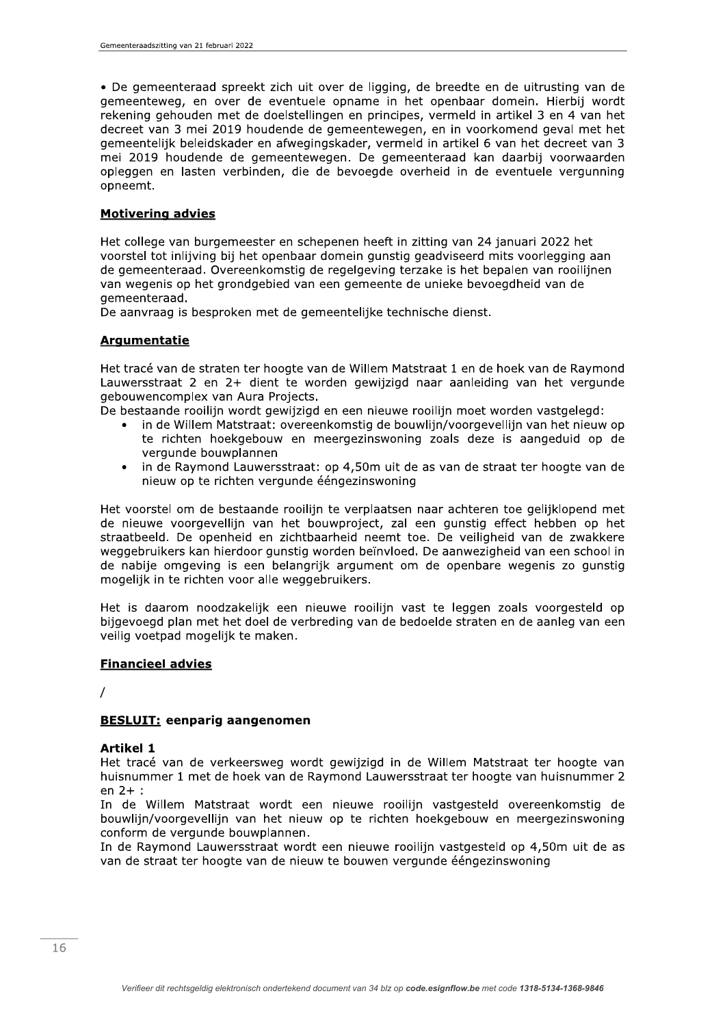• De gemeenteraad spreekt zich uit over de ligging, de breedte en de uitrusting van de gemeenteweg, en over de eventuele opname in het openbaar domein. Hierbij wordt rekening gehouden met de doelstellingen en principes, vermeld in artikel 3 en 4 van het decreet van 3 mei 2019 houdende de gemeentewegen, en in voorkomend geval met het gemeentelijk beleidskader en afwegingskader, vermeld in artikel 6 van het decreet van 3 mei 2019 houdende de gemeentewegen. De gemeenteraad kan daarbij voorwaarden opleggen en lasten verbinden, die de bevoegde overheid in de eventuele vergunning opneemt.

# **Motivering advies**

Het college van burgemeester en schepenen heeft in zitting van 24 januari 2022 het voorstel tot inlijving bij het openbaar domein gunstig geadviseerd mits voorlegging aan de gemeenteraad. Overeenkomstig de regelgeving terzake is het bepalen van rooilijnen van wegenis op het grondgebied van een gemeente de unieke bevoegdheid van de gemeenteraad.

De aanvraag is besproken met de gemeentelijke technische dienst.

## **Argumentatie**

Het tracé van de straten ter hoogte van de Willem Matstraat 1 en de hoek van de Raymond Lauwersstraat 2 en 2+ dient te worden gewijzigd naar aanleiding van het vergunde gebouwencomplex van Aura Projects.

De bestaande rooilijn wordt gewijzigd en een nieuwe rooilijn moet worden vastgelegd:

- in de Willem Matstraat: overeenkomstig de bouwliin/voorgevellijn van het nieuw op te richten hoekgebouw en meergezinswoning zoals deze is aangeduid op de vergunde bouwplannen
- in de Raymond Lauwersstraat: op 4,50m uit de as van de straat ter hoogte van de  $\bullet$ nieuw op te richten vergunde ééngezinswoning

Het voorstel om de bestaande rooilijn te verplaatsen naar achteren toe gelijklopend met de nieuwe voorgevellijn van het bouwproject, zal een gunstig effect hebben op het straatbeeld. De openheid en zichtbaarheid neemt toe. De veiligheid van de zwakkere weggebruikers kan hierdoor gunstig worden beïnvloed. De aanwezigheid van een school in de nabije omgeving is een belangrijk argument om de openbare wegenis zo gunstig mogelijk in te richten voor alle weggebruikers.

Het is daarom noodzakelijk een nieuwe rooilijn vast te leggen zoals voorgesteld op bijgevoegd plan met het doel de verbreding van de bedoelde straten en de aanleg van een veilig voetpad mogelijk te maken.

### **Financieel advies**

 $\prime$ 

# **BESLUIT: eenparig aangenomen**

### **Artikel 1**

Het tracé van de verkeersweg wordt gewijzigd in de Willem Matstraat ter hoogte van huisnummer 1 met de hoek van de Raymond Lauwersstraat ter hoogte van huisnummer 2 en  $2+$ :

In de Willem Matstraat wordt een nieuwe rooilijn vastgesteld overeenkomstig de bouwlijn/voorgevellijn van het nieuw op te richten hoekgebouw en meergezinswoning conform de vergunde bouwplannen.

In de Raymond Lauwersstraat wordt een nieuwe rooilijn vastgesteld op 4,50m uit de as van de straat ter hoogte van de nieuw te bouwen vergunde ééngezinswoning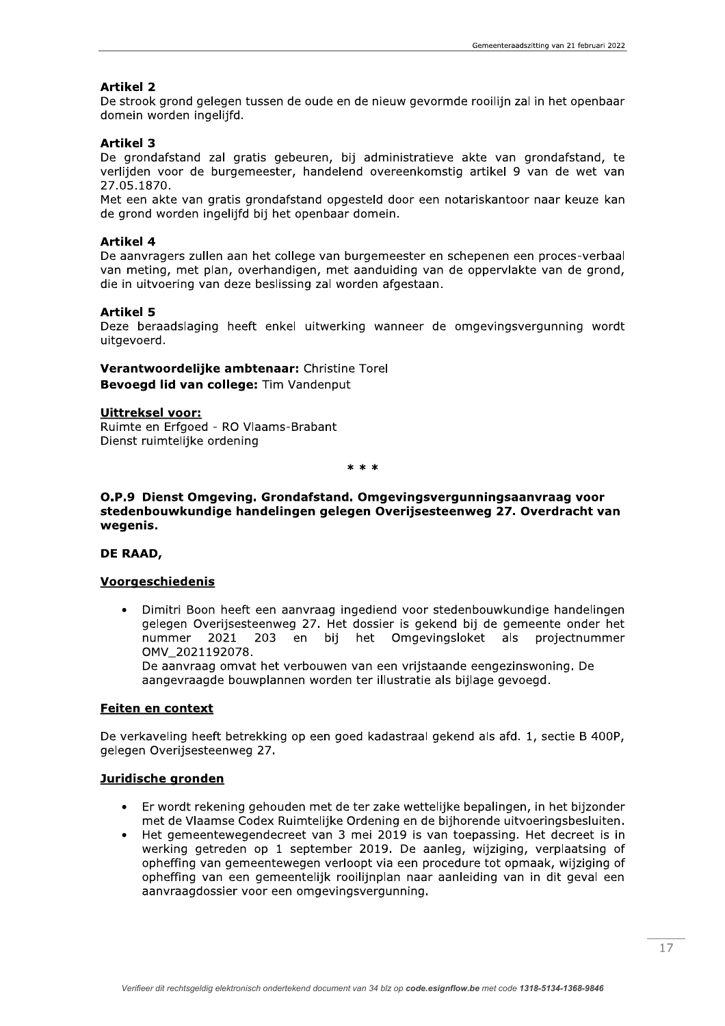### **Artikel 2**

De strook grond gelegen tussen de oude en de nieuw gevormde rooilijn zal in het openbaar domein worden ingelijfd.

### **Artikel 3**

De grondafstand zal gratis gebeuren, bij administratieve akte van grondafstand, te verlijden voor de burgemeester, handelend overeenkomstig artikel 9 van de wet van 27.05.1870.

Met een akte van gratis grondafstand opgesteld door een notariskantoor naar keuze kan de grond worden ingelijfd bij het openbaar domein.

#### **Artikel 4**

De aanvragers zullen aan het college van burgemeester en schepenen een proces-verbaal van meting, met plan, overhandigen, met aanduiding van de oppervlakte van de grond, die in uitvoering van deze beslissing zal worden afgestaan.

### **Artikel 5**

Deze beraadslaging heeft enkel uitwerking wanneer de omgevingsvergunning wordt uitgevoerd.

Verantwoordelijke ambtenaar: Christine Torel Bevoegd lid van college: Tim Vandenput

#### **Uittreksel voor:**

Ruimte en Erfgoed - RO Vlaams-Brabant Dienst ruimtelijke ordening

 $* * *$ 

### O.P.9 Dienst Omgeving. Grondafstand. Omgevingsvergunningsaanvraag voor stedenbouwkundige handelingen gelegen Overijsesteenweg 27. Overdracht van wegenis.

#### DE RAAD,

### Voorgeschiedenis

Dimitri Boon heeft een aanvraag ingediend voor stedenbouwkundige handelingen  $\bullet$ gelegen Overijsesteenweg 27. Het dossier is gekend bij de gemeente onder het nummer 203 en bij het Omgevingsloket als 2021 projectnummer OMV 2021192078.

De aanvraag omvat het verbouwen van een vrijstaande eengezinswoning. De aangevraagde bouwplannen worden ter illustratie als bijlage gevoegd.

## Feiten en context

De verkaveling heeft betrekking op een goed kadastraal gekend als afd. 1, sectie B 400P, gelegen Overijsesteenweg 27.

#### Juridische gronden

- Er wordt rekening gehouden met de ter zake wettelijke bepalingen, in het bijzonder met de Vlaamse Codex Ruimtelijke Ordening en de bijhorende uitvoeringsbesluiten.
- Het gemeentewegendecreet van 3 mei 2019 is van toepassing. Het decreet is in werking getreden op 1 september 2019. De aanleg, wijziging, verplaatsing of opheffing van gemeentewegen verloopt via een procedure tot opmaak, wijziging of opheffing van een gemeentelijk rooilijnplan naar aanleiding van in dit geval een aanvraagdossier voor een omgevingsvergunning.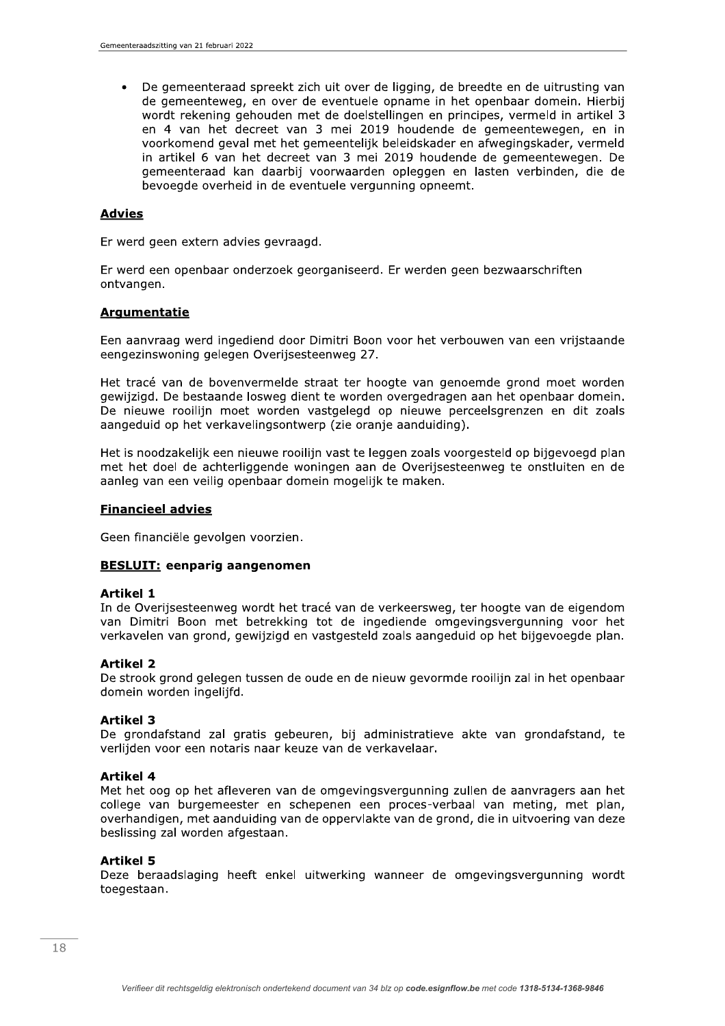De gemeenteraad spreekt zich uit over de ligging, de breedte en de uitrusting van  $\bullet$ de gemeenteweg, en over de eventuele opname in het openbaar domein. Hierbij wordt rekening gehouden met de doelstellingen en principes, vermeld in artikel 3 en 4 van het decreet van 3 mei 2019 houdende de gemeentewegen, en in voorkomend geval met het gemeentelijk beleidskader en afwegingskader, vermeld in artikel 6 van het decreet van 3 mei 2019 houdende de gemeentewegen. De gemeenteraad kan daarbij voorwaarden opleggen en lasten verbinden, die de bevoegde overheid in de eventuele vergunning opneemt.

### **Advies**

Er werd geen extern advies gevraagd.

Er werd een openbaar onderzoek georganiseerd. Er werden geen bezwaarschriften ontvangen.

### **Argumentatie**

Een aanvraag werd ingediend door Dimitri Boon voor het verbouwen van een vrijstaande eengezinswoning gelegen Overijsesteenweg 27.

Het tracé van de bovenvermelde straat ter hoogte van genoemde grond moet worden gewijzigd. De bestaande losweg dient te worden overgedragen aan het openbaar domein. De nieuwe rooilijn moet worden vastgelegd op nieuwe perceelsgrenzen en dit zoals aangeduid op het verkavelingsontwerp (zie oranie aanduiding).

Het is noodzakelijk een nieuwe rooilijn vast te leggen zoals voorgesteld op bijgevoegd plan met het doel de achterliggende woningen aan de Overijsesteenweg te onstluiten en de aanleg van een veilig openbaar domein mogelijk te maken.

### **Financieel advies**

Geen financiële gevolgen voorzien.

### **BESLUIT: eenparig aangenomen**

#### **Artikel 1**

In de Overijsesteenweg wordt het tracé van de verkeersweg, ter hoogte van de eigendom van Dimitri Boon met betrekking tot de ingediende omgevingsvergunning voor het verkavelen van grond, gewijzigd en vastgesteld zoals aangeduid op het bijgevoegde plan.

### **Artikel 2**

De strook grond gelegen tussen de oude en de nieuw gevormde rooilijn zal in het openbaar domein worden ingelijfd.

### **Artikel 3**

De grondafstand zal gratis gebeuren, bij administratieve akte van grondafstand, te verlijden voor een notaris naar keuze van de verkavelaar.

#### **Artikel 4**

Met het oog op het afleveren van de omgevingsvergunning zullen de aanvragers aan het college van burgemeester en schepenen een proces-verbaal van meting, met plan, overhandigen, met aanduiding van de oppervlakte van de grond, die in uitvoering van deze beslissing zal worden afgestaan.

#### **Artikel 5**

Deze beraadslaging heeft enkel uitwerking wanneer de omgevingsvergunning wordt toegestaan.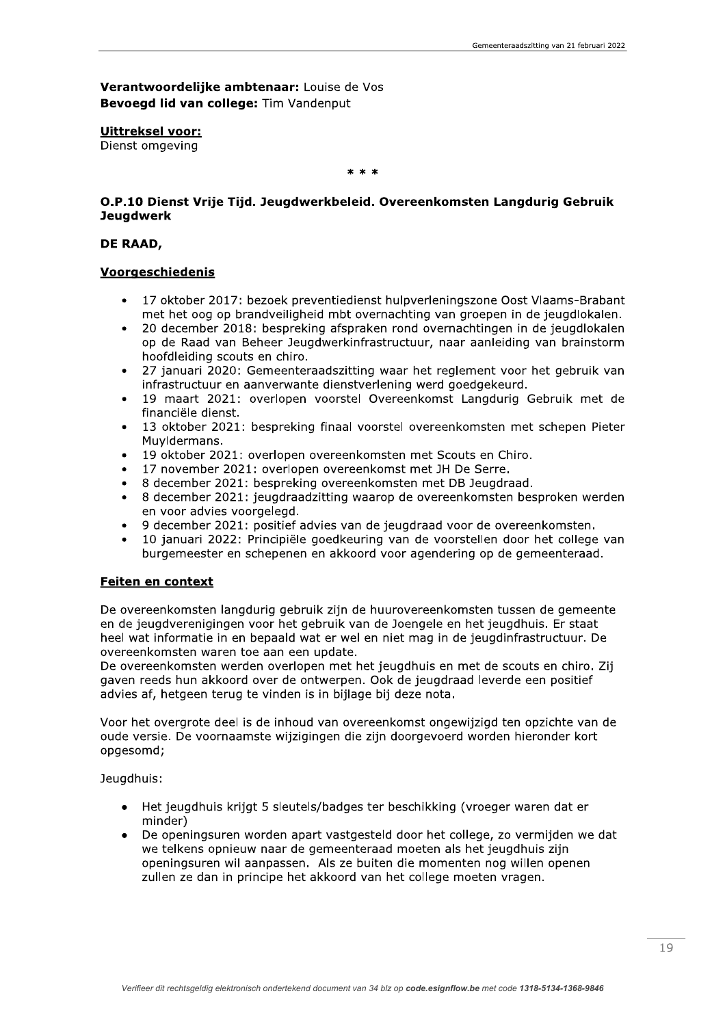Verantwoordelijke ambtenaar: Louise de Vos Bevoegd lid van college: Tim Vandenput

**Uittreksel voor:** 

Dienst omgeving

### $* * *$

## O.P.10 Dienst Vrije Tijd. Jeugdwerkbeleid. Overeenkomsten Langdurig Gebruik **Jeugdwerk**

### DE RAAD,

### **Voorgeschiedenis**

- 17 oktober 2017: bezoek preventiedienst hulpverleningszone Oost Vlaams-Brabant met het oog op brandveiligheid mbt overnachting van groepen in de jeugdlokalen.
- 20 december 2018: bespreking afspraken rond overnachtingen in de jeugdlokalen op de Raad van Beheer Jeugdwerkinfrastructuur, naar aanleiding van brainstorm hoofdleiding scouts en chiro.
- 27 januari 2020: Gemeenteraadszitting waar het reglement voor het gebruik van infrastructuur en aanverwante dienstverlening werd goedgekeurd.
- 19 maart 2021: overlopen voorstel Overeenkomst Langdurig Gebruik met de financiële dienst.
- 13 oktober 2021: bespreking finaal voorstel overeenkomsten met schepen Pieter Muvidermans.
- 19 oktober 2021: overlopen overeenkomsten met Scouts en Chiro.
- 17 november 2021: overlopen overeenkomst met JH De Serre.
- 8 december 2021: bespreking overeenkomsten met DB Jeugdraad.
- 8 december 2021: jeugdraadzitting waarop de overeenkomsten besproken werden en voor advies voorgelegd.
- 9 december 2021: positief advies van de jeugdraad voor de overeenkomsten.
- 10 januari 2022: Principiële goedkeuring van de voorstellen door het college van burgemeester en schepenen en akkoord voor agendering op de gemeenteraad.

### **Feiten en context**

De overeenkomsten langdurig gebruik zijn de huurovereenkomsten tussen de gemeente en de jeugdverenigingen voor het gebruik van de Joengele en het jeugdhuis. Er staat heel wat informatie in en bepaald wat er wel en niet mag in de jeugdinfrastructuur. De overeenkomsten waren toe aan een update.

De overeenkomsten werden overlopen met het jeugdhuis en met de scouts en chiro. Zij gaven reeds hun akkoord over de ontwerpen. Ook de jeugdraad leverde een positief advies af, hetgeen terug te vinden is in bijlage bij deze nota.

Voor het overgrote deel is de inhoud van overeenkomst ongewijzigd ten opzichte van de oude versie. De voornaamste wijzigingen die zijn doorgevoerd worden hieronder kort opgesomd;

Jeugdhuis:

- Het jeugdhuis krijgt 5 sleutels/badges ter beschikking (vroeger waren dat er minder)
- De openingsuren worden apart vastgesteld door het college, zo vermijden we dat we telkens opnieuw naar de gemeenteraad moeten als het jeugdhuis zijn openingsuren wil aanpassen. Als ze buiten die momenten nog willen openen zullen ze dan in principe het akkoord van het college moeten vragen.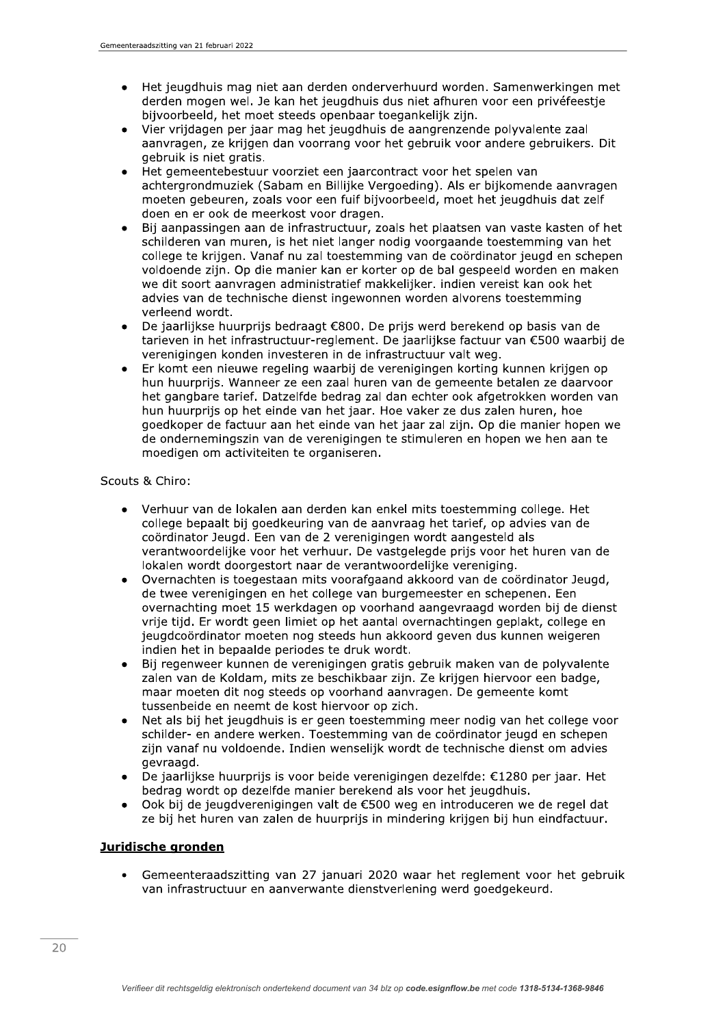- Het jeugdhuis mag niet aan derden onderverhuurd worden. Samenwerkingen met  $\bullet$ derden mogen wel. Je kan het jeugdhuis dus niet afhuren voor een privéfeestie bijvoorbeeld, het moet steeds openbaar toegankelijk zijn.
- Vier vrijdagen per jaar mag het jeugdhuis de aangrenzende polyvalente zaal aanvragen, ze krijgen dan voorrang voor het gebruik voor andere gebruikers. Dit gebruik is niet gratis.
- Het gemeentebestuur voorziet een jaarcontract voor het spelen van achtergrondmuziek (Sabam en Billijke Vergoeding). Als er bijkomende aanvragen moeten gebeuren, zoals voor een fuif bijvoorbeeld, moet het jeugdhuis dat zelf doen en er ook de meerkost voor dragen.
- Bij aanpassingen aan de infrastructuur, zoals het plaatsen van vaste kasten of het  $\bullet$ schilderen van muren, is het niet langer nodig voorgaande toestemming van het college te krijgen. Vanaf nu zal toestemming van de coördinator jeugd en schepen voldoende zijn. Op die manier kan er korter op de bal gespeeld worden en maken we dit soort aanvragen administratief makkelijker, indien vereist kan ook het advies van de technische dienst ingewonnen worden alvorens toestemming verleend wordt.
- De jaarlijkse huurprijs bedraagt €800. De prijs werd berekend op basis van de tarieven in het infrastructuur-reglement. De jaarlijkse factuur van €500 waarbij de verenigingen konden investeren in de infrastructuur valt weg.
- Er komt een nieuwe regeling waarbij de verenigingen korting kunnen krijgen op hun huurprijs. Wanneer ze een zaal huren van de gemeente betalen ze daarvoor het gangbare tarief. Datzelfde bedrag zal dan echter ook afgetrokken worden van hun huurprijs op het einde van het jaar. Hoe vaker ze dus zalen huren, hoe goedkoper de factuur aan het einde van het jaar zal zijn. Op die manier hopen we de ondernemingszin van de verenigingen te stimuleren en hopen we hen aan te moedigen om activiteiten te organiseren.

Scouts & Chiro:

- Verhuur van de lokalen aan derden kan enkel mits toestemming college. Het college bepaalt bij goedkeuring van de aanvraag het tarief, op advies van de coördinator Jeugd. Een van de 2 verenigingen wordt aangesteld als verantwoordelijke voor het verhuur. De vastgelegde prijs voor het huren van de lokalen wordt doorgestort naar de verantwoordelijke vereniging.
- Overnachten is toegestaan mits voorafgaand akkoord van de coördinator Jeugd,  $\bullet$ de twee verenigingen en het college van burgemeester en schepenen. Een overnachting moet 15 werkdagen op voorhand aangevraagd worden bij de dienst vrije tijd. Er wordt geen limiet op het aantal overnachtingen geplakt, college en jeugdcoördinator moeten nog steeds hun akkoord geven dus kunnen weigeren indien het in bepaalde periodes te druk wordt.
- Bij regenweer kunnen de verenigingen gratis gebruik maken van de polyvalente  $\bullet$ zalen van de Koldam, mits ze beschikbaar zijn. Ze krijgen hiervoor een badge, maar moeten dit nog steeds op voorhand aanvragen. De gemeente komt tussenbeide en neemt de kost hiervoor op zich.
- Net als bij het jeugdhuis is er geen toestemming meer nodig van het college voor  $\bullet$ schilder- en andere werken. Toestemming van de coördinator jeugd en schepen zijn vanaf nu voldoende. Indien wenselijk wordt de technische dienst om advies gevraagd.
- De jaarlijkse huurprijs is voor beide verenigingen dezelfde: €1280 per jaar. Het bedrag wordt op dezelfde manier berekend als voor het jeugdhuis.
- Ook bij de jeugdverenigingen valt de €500 weg en introduceren we de regel dat ze bij het huren van zalen de huurprijs in mindering krijgen bij hun eindfactuur.

# Juridische gronden

Gemeenteraadszitting van 27 januari 2020 waar het reglement voor het gebruik van infrastructuur en aanverwante dienstverlening werd goedgekeurd.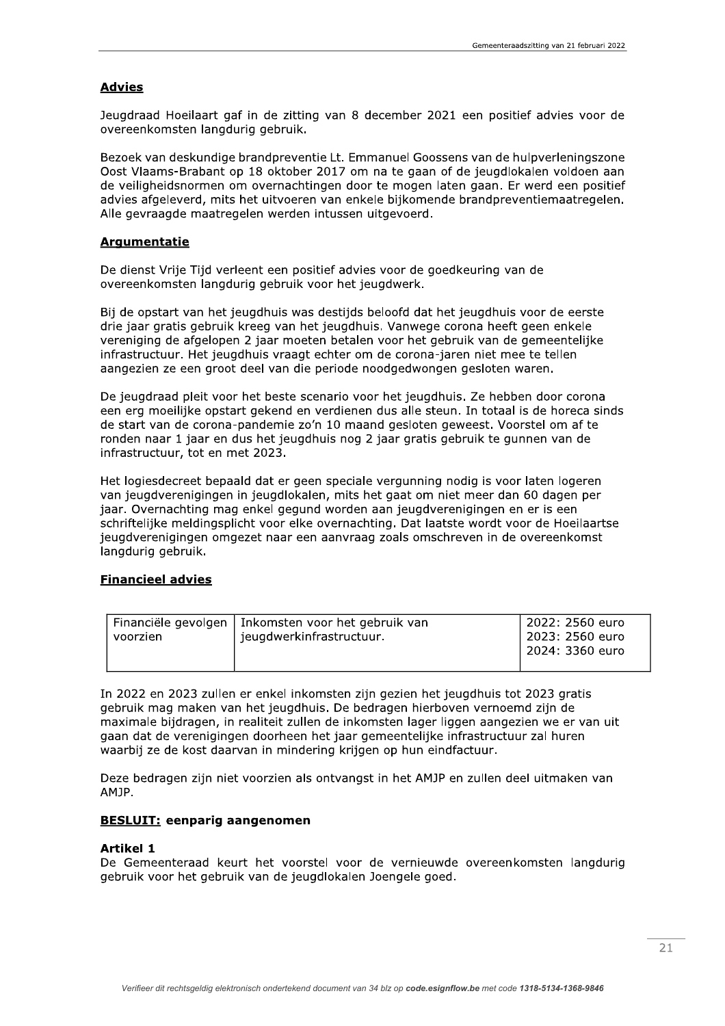# **Advies**

Jeugdraad Hoeilaart gaf in de zitting van 8 december 2021 een positief advies voor de overeenkomsten langdurig gebruik.

Bezoek van deskundige brandpreventie Lt. Emmanuel Goossens van de hulpverleningszone Oost Vlaams-Brabant op 18 oktober 2017 om na te gaan of de jeugdlokalen voldoen aan de veiligheidsnormen om overnachtingen door te mogen laten gaan. Er werd een positief advies afgeleverd, mits het uitvoeren van enkele bijkomende brandpreventiemaatregelen. Alle gevraagde maatregelen werden intussen uitgevoerd.

## **Argumentatie**

De dienst Vrije Tijd verleent een positief advies voor de goedkeuring van de overeenkomsten langdurig gebruik voor het jeugdwerk.

Bij de opstart van het jeugdhuis was destijds beloofd dat het jeugdhuis voor de eerste drie jaar gratis gebruik kreeg van het jeugdhuis. Vanwege corona heeft geen enkele vereniging de afgelopen 2 jaar moeten betalen voor het gebruik van de gemeentelijke infrastructuur. Het jeugdhuis vraagt echter om de corona-jaren niet mee te tellen aangezien ze een groot deel van die periode noodgedwongen gesloten waren.

De jeugdraad pleit voor het beste scenario voor het jeugdhuis. Ze hebben door corona een erg moeilijke opstart gekend en verdienen dus alle steun. In totaal is de horeca sinds de start van de corona-pandemie zo'n 10 maand gesloten geweest. Voorstel om af te ronden naar 1 jaar en dus het jeugdhuis nog 2 jaar gratis gebruik te gunnen van de infrastructuur, tot en met 2023.

Het logiesdecreet bepaald dat er geen speciale vergunning nodig is voor laten logeren van jeugdverenigingen in jeugdlokalen, mits het gaat om niet meer dan 60 dagen per jaar. Overnachting mag enkel gegund worden aan jeugdverenigingen en er is een schriftelijke meldingsplicht voor elke overnachting. Dat laatste wordt voor de Hoeilaartse jeugdverenigingen omgezet naar een aanvraag zoals omschreven in de overeenkomst langdurig gebruik.

## **Financieel advies**

| Financiële gevolgen | Inkomsten voor het gebruik van | 2022: 2560 euro   |
|---------------------|--------------------------------|-------------------|
| voorzien            | jeugdwerkinfrastructuur.       | l 2023: 2560 euro |
|                     |                                | l 2024: 3360 euro |
|                     |                                |                   |

In 2022 en 2023 zullen er enkel inkomsten zijn gezien het jeugdhuis tot 2023 gratis gebruik mag maken van het jeugdhuis. De bedragen hierboven vernoemd zijn de maximale bijdragen, in realiteit zullen de inkomsten lager liggen aangezien we er van uit gaan dat de verenigingen doorheen het jaar gemeentelijke infrastructuur zal huren waarbij ze de kost daarvan in mindering krijgen op hun eindfactuur.

Deze bedragen zijn niet voorzien als ontvangst in het AMJP en zullen deel uitmaken van AMJP.

### **BESLUIT: eenparig aangenomen**

### **Artikel 1**

De Gemeenteraad keurt het voorstel voor de vernieuwde overeenkomsten langdurig gebruik voor het gebruik van de jeugdlokalen Joengele goed.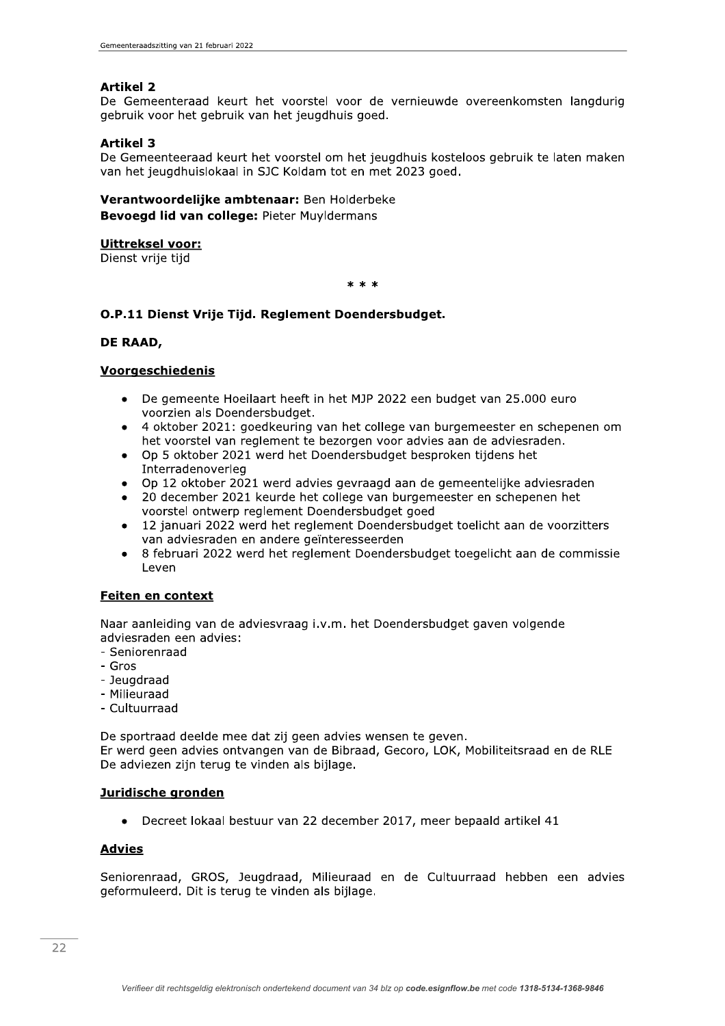# **Artikel 2**

De Gemeenteraad keurt het voorstel voor de vernieuwde overeenkomsten langdurig gebruik voor het gebruik van het jeugdhuis goed.

## **Artikel 3**

De Gemeenteeraad keurt het voorstel om het jeugdhuis kosteloos gebruik te laten maken van het jeugdhuislokaal in SJC Koldam tot en met 2023 goed.

# Verantwoordelijke ambtenaar: Ben Holderbeke Bevoegd lid van college: Pieter Muyldermans

## Uittreksel voor:

Dienst vrije tijd

 $* * *$ 

# O.P.11 Dienst Vrije Tijd. Reglement Doendersbudget.

### DE RAAD.

## Voorgeschiedenis

- De gemeente Hoeilaart heeft in het MJP 2022 een budget van 25.000 euro voorzien als Doendersbudget.
- 4 oktober 2021: goedkeuring van het college van burgemeester en schepenen om het voorstel van reglement te bezorgen voor advies aan de adviesraden.
- Op 5 oktober 2021 werd het Doendersbudget besproken tijdens het Interradenoverleg
- Op 12 oktober 2021 werd advies gevraagd aan de gemeentelijke adviesraden
- 20 december 2021 keurde het college van burgemeester en schepenen het voorstel ontwerp reglement Doendersbudget goed
- 12 januari 2022 werd het reglement Doendersbudget toelicht aan de voorzitters van adviesraden en andere geïnteresseerden
- 8 februari 2022 werd het reglement Doendersbudget toegelicht aan de commissie Leven

# Feiten en context

Naar aanleiding van de adviesvraag i.v.m. het Doendersbudget gaven volgende adviesraden een advies:

- Seniorenraad
- $-$  Gros
- Jeugdraad
- Milieuraad
- Cultuurraad

De sportraad deelde mee dat zij geen advies wensen te geven. Er werd geen advies ontvangen van de Bibraad, Gecoro, LOK, Mobiliteitsraad en de RLE De adviezen zijn terug te vinden als bijlage.

### Juridische gronden

• Decreet lokaal bestuur van 22 december 2017, meer bepaald artikel 41

# **Advies**

Seniorenraad, GROS, Jeugdraad, Milieuraad en de Cultuurraad hebben een advies geformuleerd. Dit is terug te vinden als bijlage.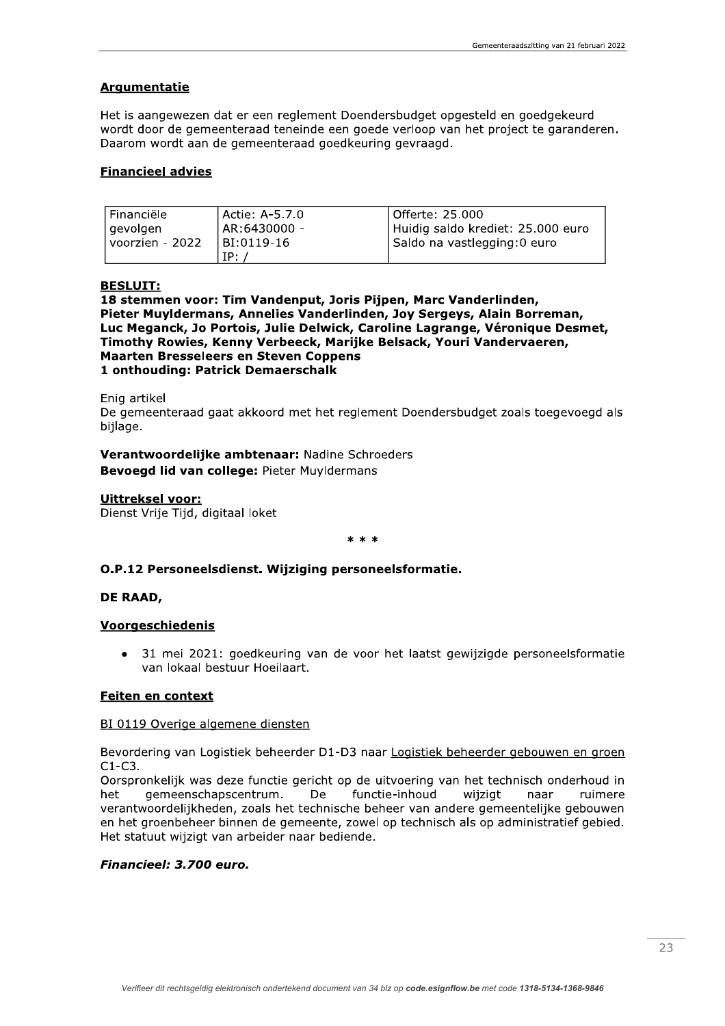# **Argumentatie**

Het is aangewezen dat er een reglement Doendersbudget opgesteld en goedgekeurd wordt door de gemeenteraad teneinde een goede verloop van het project te garanderen. Daarom wordt aan de gemeenteraad goedkeuring gevraagd.

### **Financieel advies**

| l Financiële    | l Actie: A-5.7.0 | l Offerte: 25.000                 |
|-----------------|------------------|-----------------------------------|
| l gevolgen      | AR:6430000 -     | Huidig saldo krediet: 25.000 euro |
| voorzien - 2022 | BI:0119-16       | Saldo na vastlegging:0 euro       |
|                 | IP:              |                                   |

# **BESLUIT:**

18 stemmen voor: Tim Vandenput, Joris Pijpen, Marc Vanderlinden, Pieter Muyldermans, Annelies Vanderlinden, Joy Sergeys, Alain Borreman, Luc Meganck, Jo Portois, Julie Delwick, Caroline Lagrange, Véronique Desmet, Timothy Rowies, Kenny Verbeeck, Marijke Belsack, Youri Vandervaeren, **Maarten Bresseleers en Steven Coppens** 1 onthouding: Patrick Demaerschalk

Enig artikel

De gemeenteraad gaat akkoord met het reglement Doendersbudget zoals toegevoegd als bijlage.

Verantwoordelijke ambtenaar: Nadine Schroeders Bevoegd lid van college: Pieter Muyldermans

### **Uittreksel voor:**

Dienst Vrije Tijd, digitaal loket

#### $* * *$

### O.P.12 Personeelsdienst. Wijziging personeelsformatie.

### DE RAAD,

### Voorgeschiedenis

31 mei 2021: goedkeuring van de voor het laatst gewijzigde personeelsformatie van lokaal bestuur Hoeilaart.

### Feiten en context

### BI 0119 Overige algemene diensten

Bevordering van Logistiek beheerder D1-D3 naar Logistiek beheerder gebouwen en groen  $C1-C3$ .

Oorspronkelijk was deze functie gericht op de uitvoering van het technisch onderhoud in gemeenschapscentrum. De het functie-inhoud wijzigt naar ruimere verantwoordelijkheden, zoals het technische beheer van andere gemeentelijke gebouwen en het groenbeheer binnen de gemeente, zowel op technisch als op administratief gebied. Het statuut wijzigt van arbeider naar bediende.

### Financieel: 3.700 euro.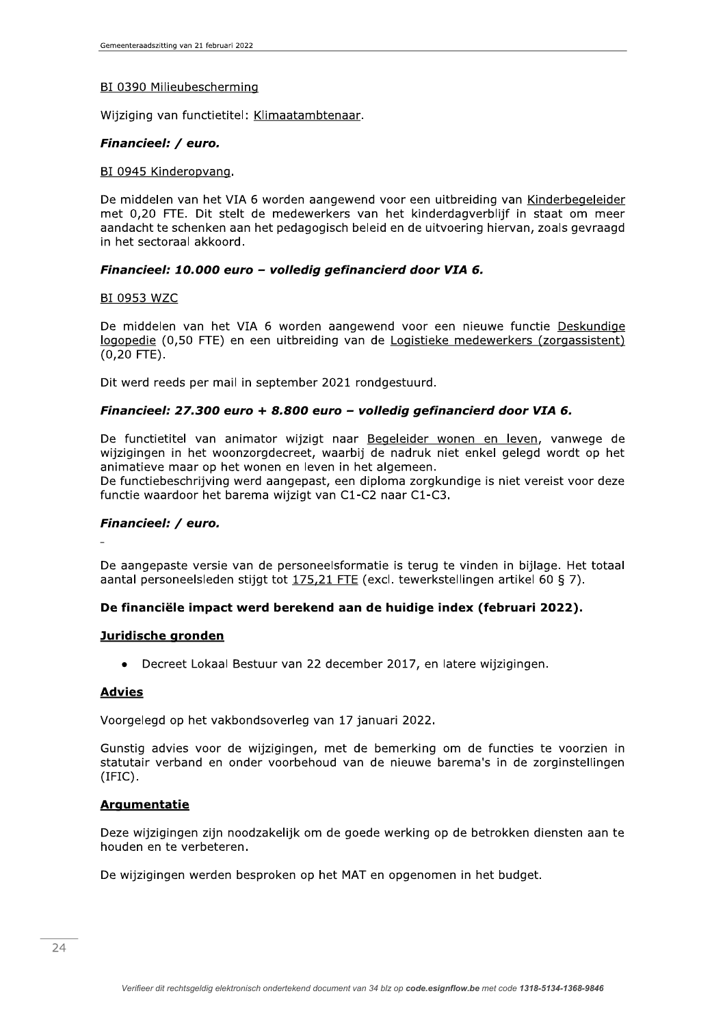### BI 0390 Milieubescherming

Wijziging van functietitel: Klimaatambtenaar.

### Financieel: / euro.

### BI 0945 Kinderopvang.

De middelen van het VIA 6 worden aangewend voor een uitbreiding van Kinderbegeleider met 0,20 FTE. Dit stelt de medewerkers van het kinderdagverblijf in staat om meer aandacht te schenken aan het pedagogisch beleid en de uitvoering hiervan, zoals gevraagd in het sectoraal akkoord.

## Financieel: 10.000 euro - volledig gefinancierd door VIA 6.

#### **BI 0953 WZC**

De middelen van het VIA 6 worden aangewend voor een nieuwe functie Deskundige logopedie (0,50 FTE) en een uitbreiding van de Logistieke medewerkers (zorgassistent)  $(0, 20$  FTE).

Dit werd reeds per mail in september 2021 rondgestuurd.

### Financieel: 27.300 euro + 8.800 euro - volledig gefinancierd door VIA 6.

De functietitel van animator wijzigt naar Begeleider wonen en leven, vanwege de wijzigingen in het woonzorgdecreet, waarbij de nadruk niet enkel gelegd wordt op het animatieve maar op het wonen en leven in het algemeen.

De functiebeschrijving werd aangepast, een diploma zorgkundige is niet vereist voor deze functie waardoor het barema wijzigt van C1-C2 naar C1-C3.

### Financieel: / euro.

De aangepaste versie van de personeelsformatie is terug te vinden in bijlage. Het totaal aantal personeelsleden stijgt tot 175,21 FTE (excl. tewerkstellingen artikel 60 § 7).

### De financiële impact werd berekend aan de huidige index (februari 2022).

#### Juridische gronden

• Decreet Lokaal Bestuur van 22 december 2017, en latere wijzigingen.

#### **Advies**

Voorgelegd op het vakbondsoverleg van 17 januari 2022.

Gunstig advies voor de wijzigingen, met de bemerking om de functies te voorzien in statutair verband en onder voorbehoud van de nieuwe barema's in de zorginstellingen  $(IFIC).$ 

#### **Argumentatie**

Deze wijzigingen zijn noodzakelijk om de goede werking op de betrokken diensten aan te houden en te verbeteren.

De wijzigingen werden besproken op het MAT en opgenomen in het budget.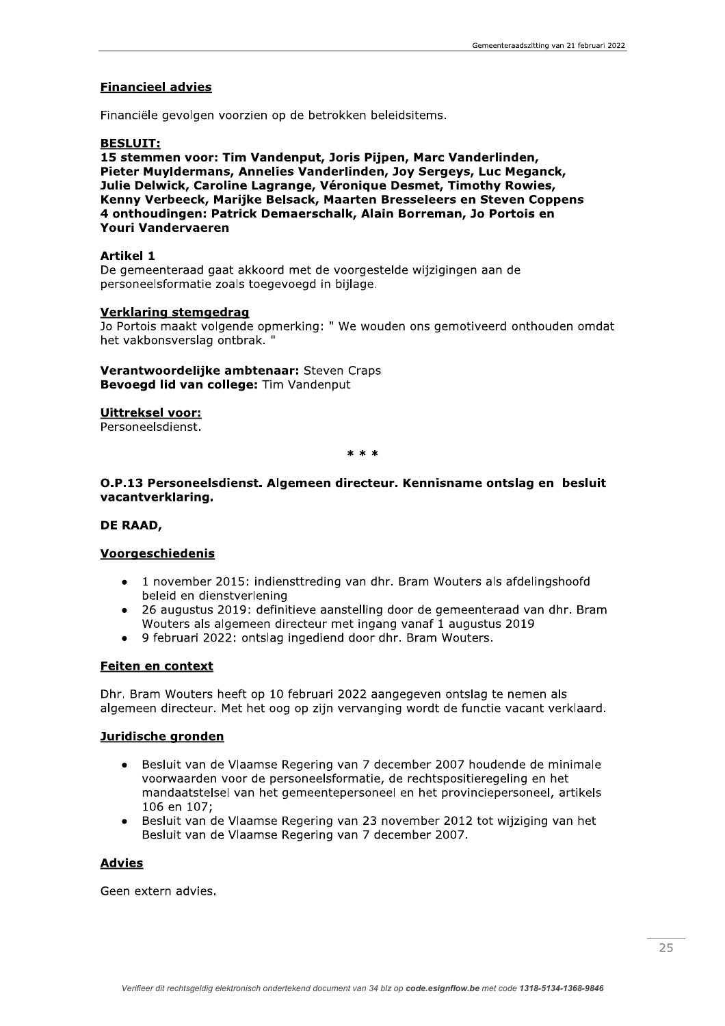### **Financieel advies**

Financiële gevolgen voorzien op de betrokken beleidsitems.

#### **BESLUIT:**

15 stemmen voor: Tim Vandenput, Joris Pijpen, Marc Vanderlinden, Pieter Muyldermans, Annelies Vanderlinden, Joy Sergeys, Luc Meganck, Julie Delwick, Caroline Lagrange, Véronique Desmet, Timothy Rowies, Kenny Verbeeck, Marijke Belsack, Maarten Bresseleers en Steven Coppens 4 onthoudingen: Patrick Demaerschalk, Alain Borreman, Jo Portois en **Youri Vandervaeren** 

#### **Artikel 1**

De gemeenteraad gaat akkoord met de voorgestelde wijzigingen aan de personeelsformatie zoals toegevoegd in bijlage.

#### **Verklaring stemgedrag**

Jo Portois maakt volgende opmerking: " We wouden ons gemotiveerd onthouden omdat het vakbonsverslag ontbrak."

Verantwoordelijke ambtenaar: Steven Craps Bevoegd lid van college: Tim Vandenput

#### **Uittreksel voor:**

Personeelsdienst.

 $* * *$ 

### O.P.13 Personeelsdienst. Algemeen directeur. Kennisname ontslag en besluit vacantverklaring.

### DE RAAD,

### **Voorgeschiedenis**

- 1 november 2015: indiensttreding van dhr. Bram Wouters als afdelingshoofd  $\bullet$ beleid en dienstverlening
- 26 augustus 2019: definitieve aanstelling door de gemeenteraad van dhr. Bram Wouters als algemeen directeur met ingang vanaf 1 augustus 2019
- 9 februari 2022: ontslag ingediend door dhr. Bram Wouters.

### Feiten en context

Dhr. Bram Wouters heeft op 10 februari 2022 aangegeven ontslag te nemen als algemeen directeur. Met het oog op zijn vervanging wordt de functie vacant verklaard.

#### Juridische gronden

- Besluit van de Vlaamse Regering van 7 december 2007 houdende de minimale voorwaarden voor de personeelsformatie, de rechtspositieregeling en het mandaatstelsel van het gemeentepersoneel en het provinciepersoneel, artikels 106 en 107;
- Besluit van de Vlaamse Regering van 23 november 2012 tot wijziging van het  $\bullet$ Besluit van de Vlaamse Regering van 7 december 2007.

### **Advies**

Geen extern advies.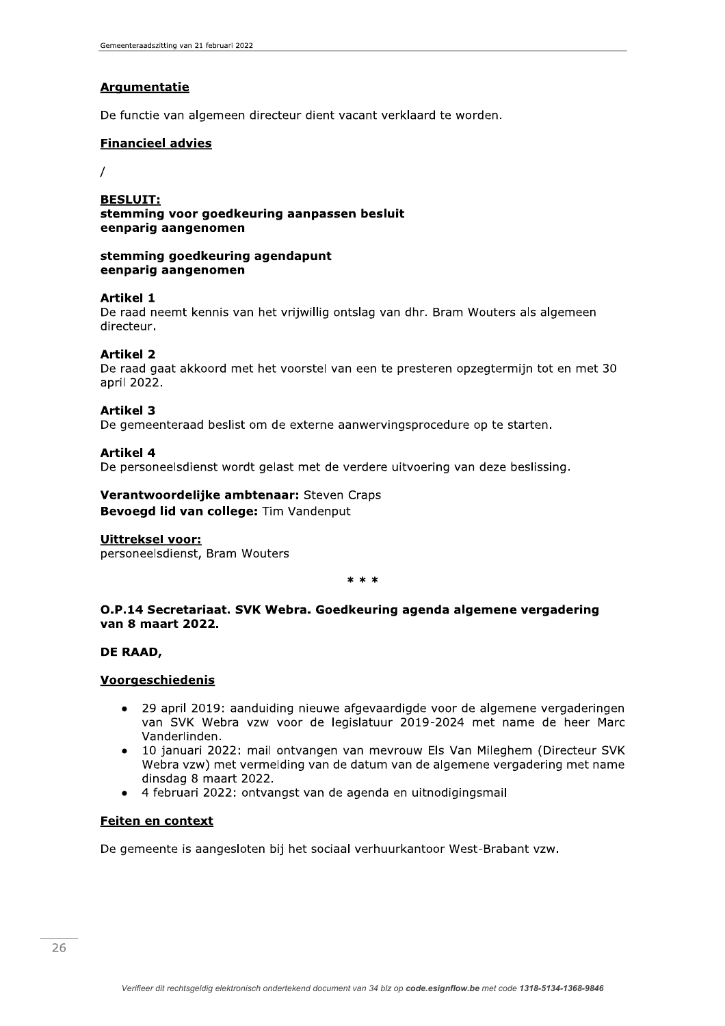# **Argumentatie**

De functie van algemeen directeur dient vacant verklaard te worden.

### **Financieel advies**

 $\prime$ 

**BESLUIT:** stemming voor goedkeuring aanpassen besluit eenparig aangenomen

### stemming goedkeuring agendapunt eenparig aangenomen

## **Artikel 1**

De raad neemt kennis van het vrijwillig ontslag van dhr. Bram Wouters als algemeen directeur.

### **Artikel 2**

De raad gaat akkoord met het voorstel van een te presteren opzegtermijn tot en met 30 april 2022.

### **Artikel 3**

De gemeenteraad beslist om de externe aanwervingsprocedure op te starten.

### **Artikel 4**

De personeelsdienst wordt gelast met de verdere uitvoering van deze beslissing.

## Verantwoordelijke ambtenaar: Steven Craps Bevoegd lid van college: Tim Vandenput

### Uittreksel voor:

personeelsdienst, Bram Wouters

 $* * *$ 

## O.P.14 Secretariaat. SVK Webra. Goedkeuring agenda algemene vergadering van 8 maart 2022.

### DE RAAD,

### Voorgeschiedenis

- 29 april 2019: aanduiding nieuwe afgevaardigde voor de algemene vergaderingen van SVK Webra vzw voor de legislatuur 2019-2024 met name de heer Marc Vanderlinden.
- 10 januari 2022: mail ontvangen van mevrouw Els Van Mileghem (Directeur SVK Webra vzw) met vermelding van de datum van de algemene vergadering met name dinsdag 8 maart 2022.
- 4 februari 2022: ontvangst van de agenda en uitnodigingsmail

### **Feiten en context**

De gemeente is aangesloten bij het sociaal verhuurkantoor West-Brabant vzw.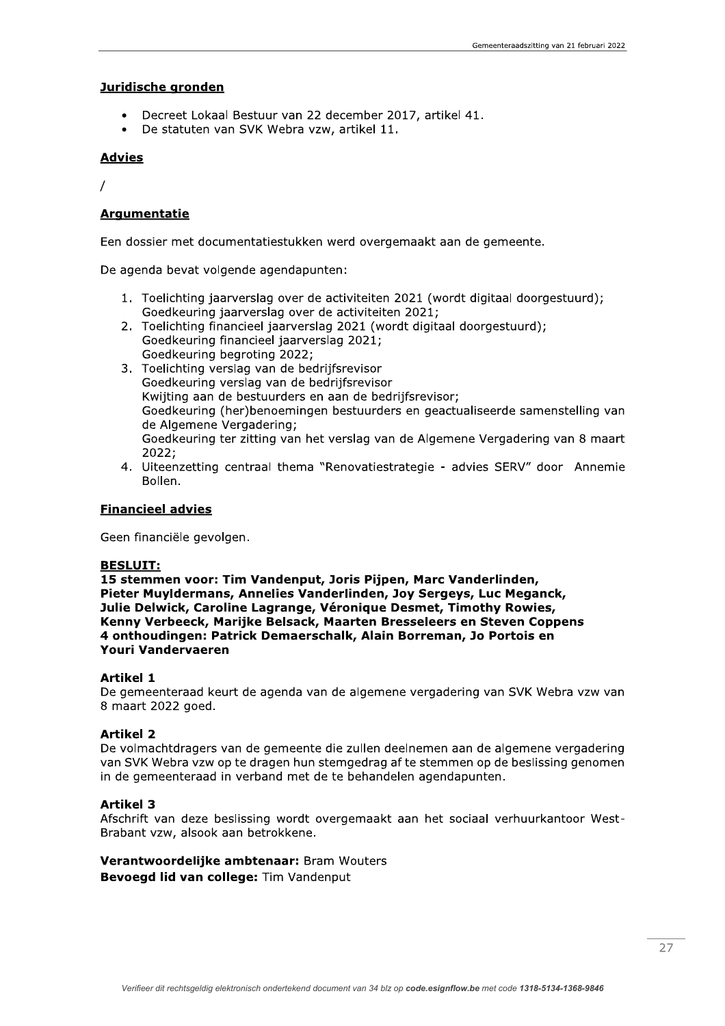## Juridische gronden

- Decreet Lokaal Bestuur van 22 december 2017, artikel 41.
- De statuten van SVK Webra vzw, artikel 11.  $\bullet$

## **Advies**

 $\prime$ 

# **Argumentatie**

Een dossier met documentatiestukken werd overgemaakt aan de gemeente.

De agenda bevat volgende agendapunten:

- 1. Toelichting jaarverslag over de activiteiten 2021 (wordt digitaal doorgestuurd); Goedkeuring jaarverslag over de activiteiten 2021;
- 2. Toelichting financieel jaarverslag 2021 (wordt digitaal doorgestuurd); Goedkeuring financieel jaarverslag 2021; Goedkeuring begroting 2022;
- 3. Toelichting verslag van de bedrijfsrevisor Goedkeuring verslag van de bedrijfsrevisor Kwiiting aan de bestuurders en aan de bedrijfsrevisor; Goedkeuring (her)benoemingen bestuurders en geactualiseerde samenstelling van de Algemene Vergadering; Goedkeuring ter zitting van het verslag van de Algemene Vergadering van 8 maart 2022:
- 4. Uiteenzetting centraal thema "Renovatiestrategie advies SERV" door Annemie Bollen.

### **Financieel advies**

Geen financiële gevolgen.

## **BESLUIT:**

15 stemmen voor: Tim Vandenput, Joris Pijpen, Marc Vanderlinden, Pieter Muyldermans, Annelies Vanderlinden, Joy Sergeys, Luc Meganck, Julie Delwick, Caroline Lagrange, Véronique Desmet, Timothy Rowies, Kenny Verbeeck, Marijke Belsack, Maarten Bresseleers en Steven Coppens 4 onthoudingen: Patrick Demaerschalk, Alain Borreman, Jo Portois en Youri Vandervaeren

### **Artikel 1**

De gemeenteraad keurt de agenda van de algemene vergadering van SVK Webra vzw van 8 maart 2022 goed.

### **Artikel 2**

De volmachtdragers van de gemeente die zullen deelnemen aan de algemene vergadering van SVK Webra vzw op te dragen hun stemgedrag af te stemmen op de beslissing genomen in de gemeenteraad in verband met de te behandelen agendapunten.

### **Artikel 3**

Afschrift van deze beslissing wordt overgemaakt aan het sociaal verhuurkantoor West-Brabant vzw, alsook aan betrokkene.

### Verantwoordelijke ambtenaar: Bram Wouters Bevoegd lid van college: Tim Vandenput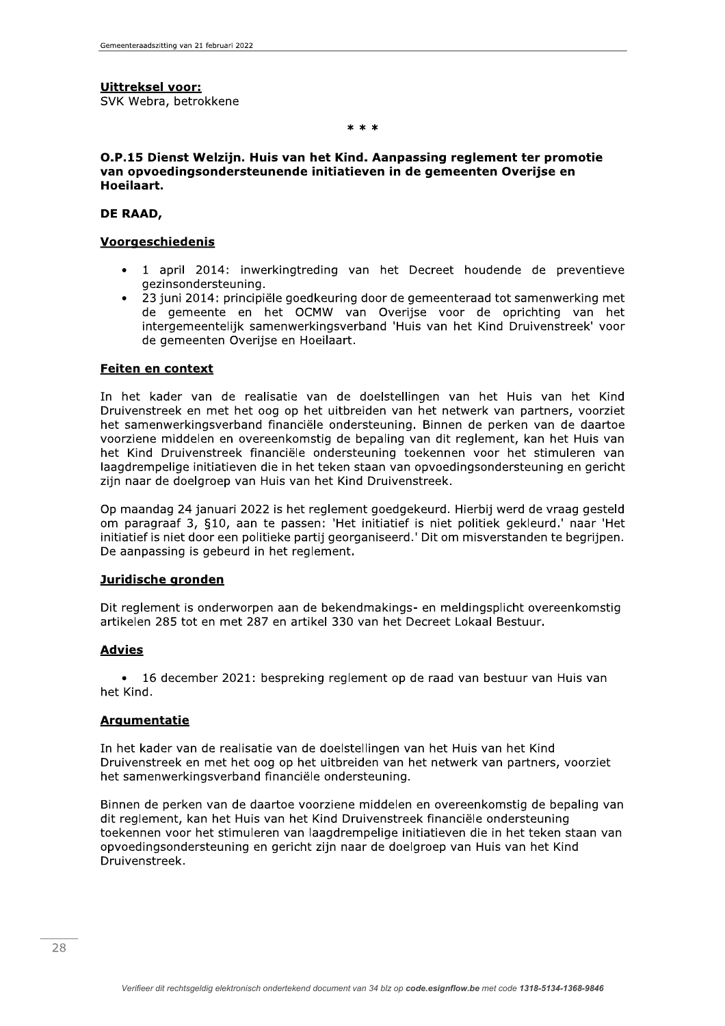## Uittreksel voor:

SVK Webra, betrokkene

 $**$ 

## O.P.15 Dienst Welzijn, Huis van het Kind, Aanpassing reglement ter promotie van opvoedingsondersteunende initiatieven in de gemeenten Overijse en Hoeilaart.

## DE RAAD,

## Voorgeschiedenis

- 1 april 2014: inwerkingtreding van het Decreet houdende de preventieve gezinsondersteuning.
- 23 juni 2014: principiële goedkeuring door de gemeenteraad tot samenwerking met de gemeente en het OCMW van Overijse voor de oprichting van het intergemeentelijk samenwerkingsverband 'Huis van het Kind Druivenstreek' voor de gemeenten Overijse en Hoeilaart.

### **Feiten en context**

In het kader van de realisatie van de doelstellingen van het Huis van het Kind Druivenstreek en met het oog op het uitbreiden van het netwerk van partners, voorziet het samenwerkingsverband financiële ondersteuning. Binnen de perken van de daartoe voorziene middelen en overeenkomstig de bepaling van dit reglement, kan het Huis van het Kind Druivenstreek financiële ondersteuning toekennen voor het stimuleren van laagdrempelige initiatieven die in het teken staan van opvoedingsondersteuning en gericht zijn naar de doelgroep van Huis van het Kind Druivenstreek.

Op maandag 24 januari 2022 is het reglement goedgekeurd. Hierbij werd de vraag gesteld om paragraaf 3, §10, aan te passen: 'Het initiatief is niet politiek gekleurd.' naar 'Het initiatief is niet door een politieke partij georganiseerd.' Dit om misverstanden te begrijpen. De aanpassing is gebeurd in het reglement.

### Juridische gronden

Dit reglement is onderworpen aan de bekendmakings- en meldingsplicht overeenkomstig artikelen 285 tot en met 287 en artikel 330 van het Decreet Lokaal Bestuur.

# **Advies**

16 december 2021: bespreking reglement op de raad van bestuur van Huis van het Kind.

# Argumentatie

In het kader van de realisatie van de doelstellingen van het Huis van het Kind Druivenstreek en met het oog op het uitbreiden van het netwerk van partners, voorziet het samenwerkingsverband financiële ondersteuning.

Binnen de perken van de daartoe voorziene middelen en overeenkomstig de bepaling van dit reglement, kan het Huis van het Kind Druivenstreek financiële ondersteuning toekennen voor het stimuleren van laagdrempelige initiatieven die in het teken staan van opvoedingsondersteuning en gericht zijn naar de doelgroep van Huis van het Kind Druivenstreek.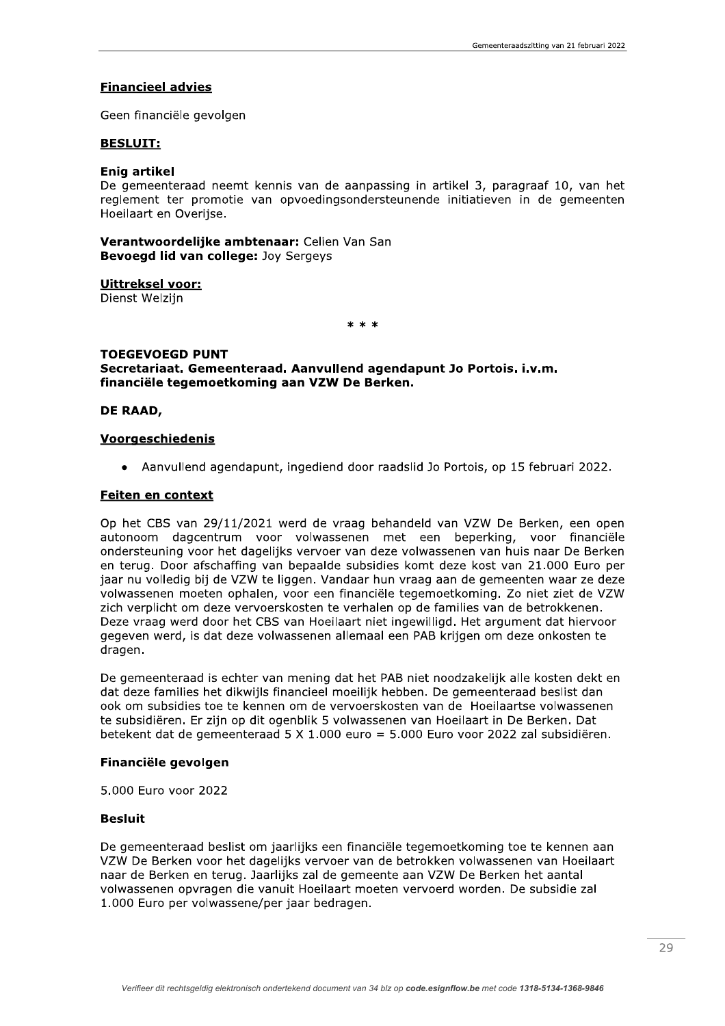### **Financieel advies**

Geen financiële gevolgen

#### **BESLUIT:**

#### Enia artikel

De gemeenteraad neemt kennis van de aanpassing in artikel 3, paragraaf 10, van het reglement ter promotie van opvoedingsondersteunende initiatieven in de gemeenten Hoeilaart en Overijse.

Verantwoordelijke ambtenaar: Celien Van San Bevoegd lid van college: Joy Sergeys

**Uittreksel voor:** Dienst Welzijn

 $* * *$ 

### **TOEGEVOEGD PUNT** Secretariaat. Gemeenteraad. Aanvullend agendapunt Jo Portois. i.v.m. financiële tegemoetkoming aan VZW De Berken.

#### **DE RAAD.**

#### **Voorgeschiedenis**

• Aanvullend agendapunt, ingediend door raadslid Jo Portois, op 15 februari 2022.

#### Feiten en context

Op het CBS van 29/11/2021 werd de vraag behandeld van VZW De Berken, een open autonoom dagcentrum voor volwassenen met een beperking, voor financiële ondersteuning voor het dagelijks vervoer van deze volwassenen van huis naar De Berken en terug. Door afschaffing van bepaalde subsidies komt deze kost van 21.000 Euro per jaar nu volledig bij de VZW te liggen. Vandaar hun vraag aan de gemeenten waar ze deze volwassenen moeten ophalen, voor een financiële tegemoetkoming. Zo niet ziet de VZW zich verplicht om deze vervoerskosten te verhalen op de families van de betrokkenen. Deze vraag werd door het CBS van Hoeilaart niet ingewilligd. Het argument dat hiervoor gegeven werd, is dat deze volwassenen allemaal een PAB krijgen om deze onkosten te dragen.

De gemeenteraad is echter van mening dat het PAB niet noodzakelijk alle kosten dekt en dat deze families het dikwijls financieel moeilijk hebben. De gemeenteraad beslist dan ook om subsidies toe te kennen om de vervoerskosten van de Hoeilaartse volwassenen te subsidiëren. Er zijn op dit ogenblik 5 volwassenen van Hoeilaart in De Berken. Dat betekent dat de gemeenteraad 5 X 1.000 euro = 5.000 Euro voor 2022 zal subsidiëren.

#### Financiële gevolgen

5.000 Euro voor 2022

### **Besluit**

De gemeenteraad beslist om jaarlijks een financiële tegemoetkoming toe te kennen aan VZW De Berken voor het dagelijks vervoer van de betrokken volwassenen van Hoeilaart naar de Berken en terug. Jaarlijks zal de gemeente aan VZW De Berken het aantal volwassenen opyragen die vanuit Hoeilaart moeten vervoerd worden. De subsidie zal 1.000 Euro per volwassene/per jaar bedragen.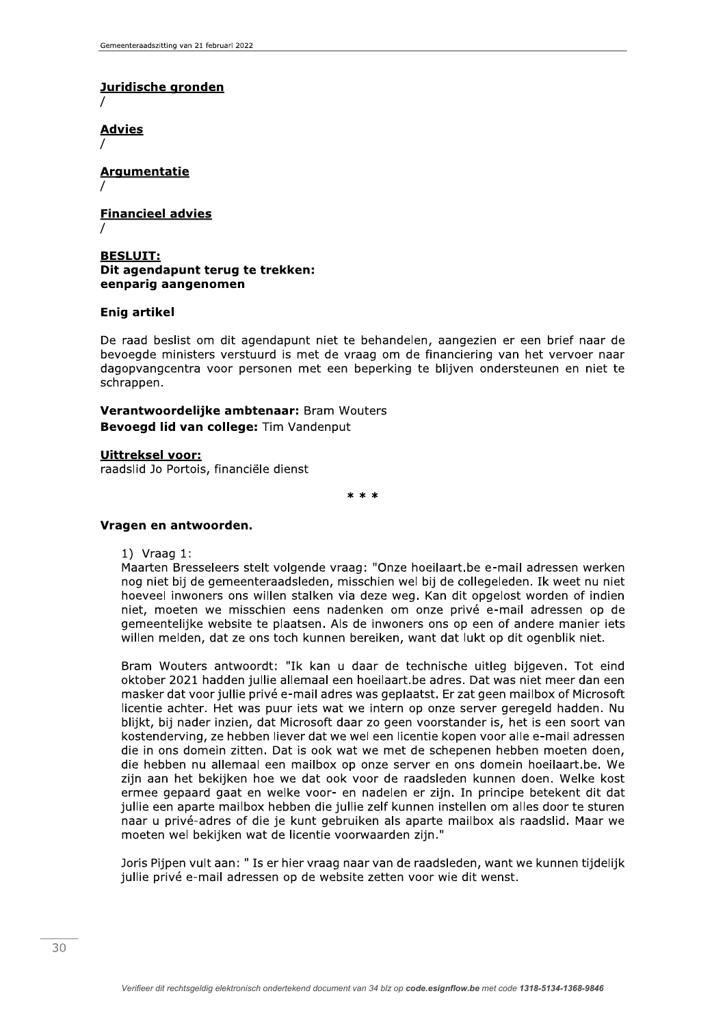# Juridische gronden

**Advies** 

**Argumentatie** 

**Financieel advies** 

### **BESLUIT:** Dit agendapunt terug te trekken: eenparig aangenomen

## **Enig artikel**

De raad beslist om dit agendapunt niet te behandelen, aangezien er een brief naar de bevoegde ministers verstuurd is met de vraag om de financiering van het vervoer naar dagopvangcentra voor personen met een beperking te blijven ondersteunen en niet te schrappen.

Verantwoordelijke ambtenaar: Bram Wouters Bevoegd lid van college: Tim Vandenput

**Uittreksel voor:** raadslid Jo Portois, financiële dienst

 $* * *$ 

### Vragen en antwoorden.

1) Vraag  $1$ :

Maarten Bresseleers stelt volgende vraag: "Onze hoeilaart.be e-mail adressen werken nog niet bij de gemeenteraadsleden, misschien wel bij de collegeleden. Ik weet nu niet hoeveel inwoners ons willen stalken via deze weg. Kan dit opgelost worden of indien niet, moeten we misschien eens nadenken om onze privé e-mail adressen op de gemeentelijke website te plaatsen. Als de inwoners ons op een of andere manier iets willen melden, dat ze ons toch kunnen bereiken, want dat lukt op dit ogenblik niet.

Bram Wouters antwoordt: "Ik kan u daar de technische uitleg bijgeven. Tot eind oktober 2021 hadden jullie allemaal een hoeilaart.be adres. Dat was niet meer dan een masker dat voor jullie privé e-mail adres was geplaatst. Er zat geen mailbox of Microsoft licentie achter. Het was puur iets wat we intern op onze server geregeld hadden. Nu blijkt, bij nader inzien, dat Microsoft daar zo geen voorstander is, het is een soort van kostenderving, ze hebben liever dat we wel een licentie kopen voor alle e-mail adressen die in ons domein zitten. Dat is ook wat we met de schepenen hebben moeten doen, die hebben nu allemaal een mailbox op onze server en ons domein hoeilaart.be. We zijn aan het bekijken hoe we dat ook voor de raadsleden kunnen doen. Welke kost ermee gepaard gaat en welke voor- en nadelen er zijn. In principe betekent dit dat jullie een aparte mailbox hebben die jullie zelf kunnen instellen om alles door te sturen naar u privé-adres of die je kunt gebruiken als aparte mailbox als raadslid. Maar we moeten wel bekijken wat de licentie voorwaarden zijn."

Joris Pijpen vult aan: "Is er hier vraag naar van de raadsleden, want we kunnen tijdelijk jullie privé e-mail adressen op de website zetten voor wie dit wenst.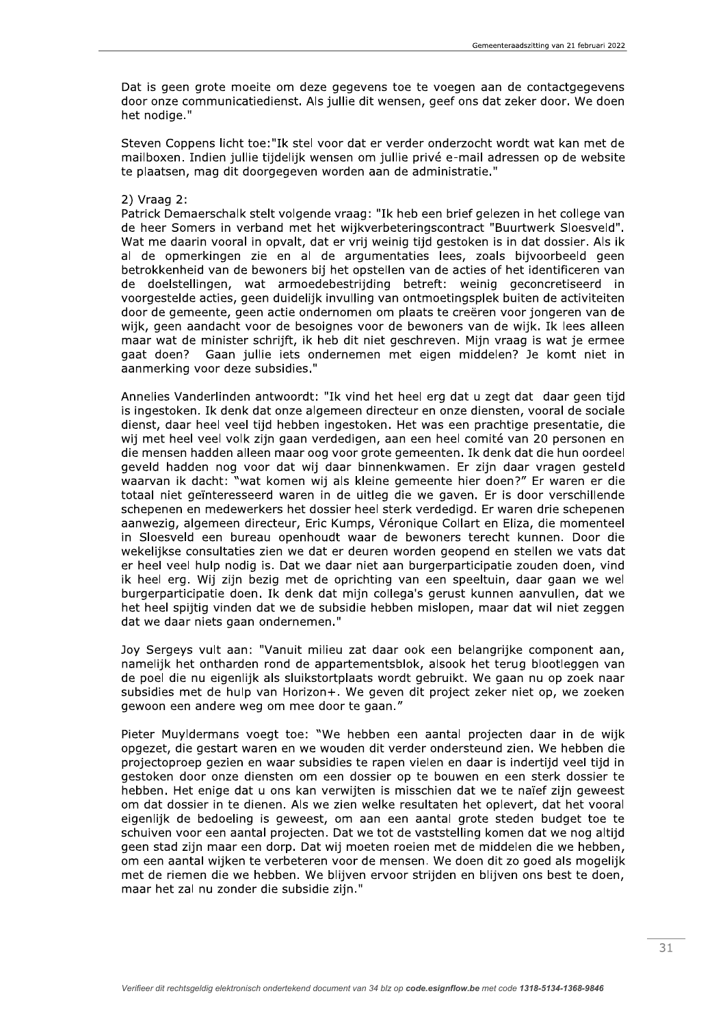Dat is geen grote moeite om deze gegevens toe te voegen aan de contactgegevens door onze communicatiedienst. Als jullie dit wensen, geef ons dat zeker door. We doen het nodige."

Steven Coppens licht toe: "Ik stel voor dat er verder onderzocht wordt wat kan met de mailboxen. Indien jullie tijdelijk wensen om jullie privé e-mail adressen op de website te plaatsen, mag dit doorgegeven worden aan de administratie."

### $2)$  Vraag 2:

Patrick Demaerschalk stelt volgende vraag: "Ik heb een brief gelezen in het college van de heer Somers in verband met het wijkverbeteringscontract "Buurtwerk Sloesveld". Wat me daarin vooral in opvalt, dat er vrij weinig tijd gestoken is in dat dossier. Als ik al de opmerkingen zie en al de argumentaties lees, zoals bijvoorbeeld geen betrokkenheid van de bewoners bij het opstellen van de acties of het identificeren van de doelstellingen, wat armoedebestriiding betreft: weinig geconcretiseerd in voorgestelde acties, geen duidelijk invulling van ontmoetingsplek buiten de activiteiten door de gemeente, geen actie ondernomen om plaats te creëren voor jongeren van de wijk, geen aandacht voor de besoignes voor de bewoners van de wijk. Ik lees alleen maar wat de minister schrijft, ik heb dit niet geschreven. Mijn vraag is wat je ermee gaat doen? Gaan jullie jets ondernemen met eigen middelen? Je komt niet in aanmerking voor deze subsidies."

Annelies Vanderlinden antwoordt: "Ik vind het heel erg dat u zegt dat daar geen tijd is ingestoken. Ik denk dat onze algemeen directeur en onze diensten, vooral de sociale dienst, daar heel veel tijd hebben ingestoken. Het was een prachtige presentatie, die wij met heel veel volk zijn gaan verdedigen, aan een heel comité van 20 personen en die mensen hadden alleen maar oog voor grote gemeenten. Ik denk dat die hun oordeel geveld hadden nog voor dat wij daar binnenkwamen. Er zijn daar vragen gesteld waarvan ik dacht: "wat komen wij als kleine gemeente hier doen?" Er waren er die totaal niet geïnteresseerd waren in de uitleg die we gaven. Er is door verschillende schepenen en medewerkers het dossier heel sterk verdedigd. Er waren drie schepenen aanwezig, algemeen directeur, Eric Kumps, Véronique Collart en Eliza, die momenteel in Sloesveld een bureau openhoudt waar de bewoners terecht kunnen. Door die wekelijkse consultaties zien we dat er deuren worden geopend en stellen we vats dat er heel veel hulp nodig is. Dat we daar niet aan burgerparticipatie zouden doen, vind ik heel erg. Wij zijn bezig met de oprichting van een speeltuin, daar gaan we wel burgerparticipatie doen. Ik denk dat mijn collega's gerust kunnen aanvullen, dat we het heel spijtig vinden dat we de subsidie hebben mislopen, maar dat wil niet zeggen dat we daar niets gaan ondernemen."

Joy Sergeys vult aan: "Vanuit milieu zat daar ook een belangrijke component aan, namelijk het ontharden rond de appartementsblok, alsook het terug blootleggen van de poel die nu eigenlijk als sluikstortplaats wordt gebruikt. We gaan nu op zoek naar subsidies met de hulp van Horizon+. We geven dit project zeker niet op, we zoeken gewoon een andere weg om mee door te gaan."

Pieter Muyldermans voegt toe: "We hebben een aantal projecten daar in de wijk opgezet, die gestart waren en we wouden dit verder ondersteund zien. We hebben die projectoproep gezien en waar subsidies te rapen vielen en daar is indertijd veel tijd in gestoken door onze diensten om een dossier op te bouwen en een sterk dossier te hebben. Het enige dat u ons kan verwijten is misschien dat we te naïef zijn geweest om dat dossier in te dienen. Als we zien welke resultaten het oplevert, dat het vooral eigenlijk de bedoeling is geweest, om aan een aantal grote steden budget toe te schuiven voor een aantal projecten. Dat we tot de vaststelling komen dat we nog altijd geen stad zijn maar een dorp. Dat wij moeten roeien met de middelen die we hebben, om een aantal wijken te verbeteren voor de mensen. We doen dit zo goed als mogelijk met de riemen die we hebben. We blijven ervoor strijden en blijven ons best te doen, maar het zal nu zonder die subsidie zijn."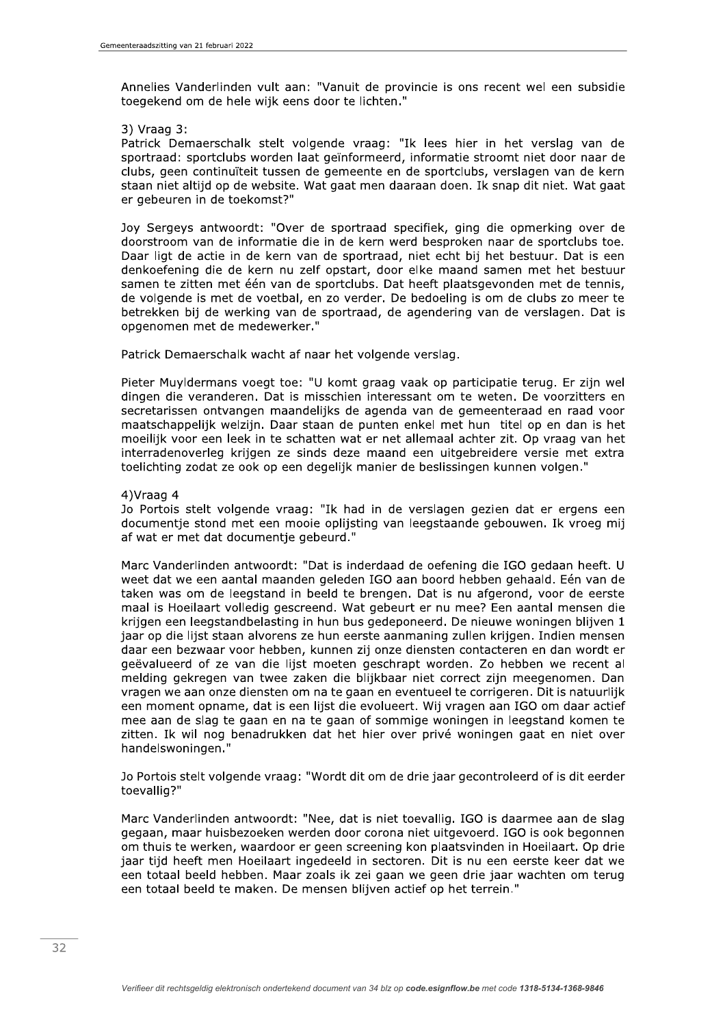Annelies Vanderlinden vult aan: "Vanuit de provincie is ons recent wel een subsidie toegekend om de hele wijk eens door te lichten."

### 3) Vraag 3:

Patrick Demaerschalk stelt volgende vraag: "Ik lees hier in het verslag van de sportraad: sportclubs worden laat geïnformeerd, informatie stroomt niet door naar de clubs, geen continuïteit tussen de gemeente en de sportclubs, verslagen van de kern staan niet altijd op de website. Wat gaat men daaraan doen. Ik snap dit niet. Wat gaat er gebeuren in de toekomst?"

Joy Sergeys antwoordt: "Over de sportraad specifiek, ging die opmerking over de doorstroom van de informatie die in de kern werd besproken naar de sportclubs toe. Daar ligt de actie in de kern van de sportraad, niet echt bij het bestuur. Dat is een denkoefening die de kern nu zelf opstart, door elke maand samen met het bestuur samen te zitten met één van de sportclubs. Dat heeft plaatsgevonden met de tennis, de volgende is met de voetbal, en zo verder. De bedoeling is om de clubs zo meer te betrekken bij de werking van de sportraad, de agendering van de verslagen. Dat is opgenomen met de medewerker."

Patrick Demaerschalk wacht af naar het volgende verslag.

Pieter Muyldermans voegt toe: "U komt graag vaak op participatie terug. Er zijn wel dingen die veranderen. Dat is misschien interessant om te weten. De voorzitters en secretarissen ontvangen maandelijks de agenda van de gemeenteraad en raad voor maatschappelijk welzijn. Daar staan de punten enkel met hun titel op en dan is het moeilijk voor een leek in te schatten wat er net allemaal achter zit. Op vraag van het interradenoverleg krijgen ze sinds deze maand een uitgebreidere versie met extra toelichting zodat ze ook op een degelijk manier de beslissingen kunnen volgen."

## 4) Vraag 4

Jo Portois stelt volgende vraag: "Ik had in de verslagen gezien dat er ergens een documentje stond met een mooie oplijsting van leegstaande gebouwen. Ik vroeg mij af wat er met dat documentje gebeurd."

Marc Vanderlinden antwoordt: "Dat is inderdaad de oefening die IGO gedaan heeft. U weet dat we een aantal maanden geleden IGO aan boord hebben gehaald. Eén van de taken was om de leegstand in beeld te brengen. Dat is nu afgerond, voor de eerste maal is Hoeilaart volledig gescreend. Wat gebeurt er nu mee? Een aantal mensen die krijgen een leegstandbelasting in hun bus gedeponeerd. De nieuwe woningen blijven 1 jaar op die lijst staan alvorens ze hun eerste aanmaning zullen krijgen. Indien mensen daar een bezwaar voor hebben, kunnen zij onze diensten contacteren en dan wordt er geëvalueerd of ze van die lijst moeten geschrapt worden. Zo hebben we recent al melding gekregen van twee zaken die blijkbaar niet correct zijn meegenomen. Dan vragen we aan onze diensten om na te gaan en eventueel te corrigeren. Dit is natuurlijk een moment opname, dat is een lijst die evolueert. Wij vragen aan IGO om daar actief mee aan de slag te gaan en na te gaan of sommige woningen in leegstand komen te zitten. Ik wil nog benadrukken dat het hier over privé woningen gaat en niet over handelswoningen."

Jo Portois stelt volgende vraag: "Wordt dit om de drie jaar gecontroleerd of is dit eerder toevallig?"

Marc Vanderlinden antwoordt: "Nee, dat is niet toevallig. IGO is daarmee aan de slag gegaan, maar huisbezoeken werden door corona niet uitgevoerd. IGO is ook begonnen om thuis te werken, waardoor er geen screening kon plaatsvinden in Hoeilaart. Op drie jaar tijd heeft men Hoeilaart ingedeeld in sectoren. Dit is nu een eerste keer dat we een totaal beeld hebben. Maar zoals ik zei gaan we geen drie jaar wachten om terug een totaal beeld te maken. De mensen blijven actief op het terrein."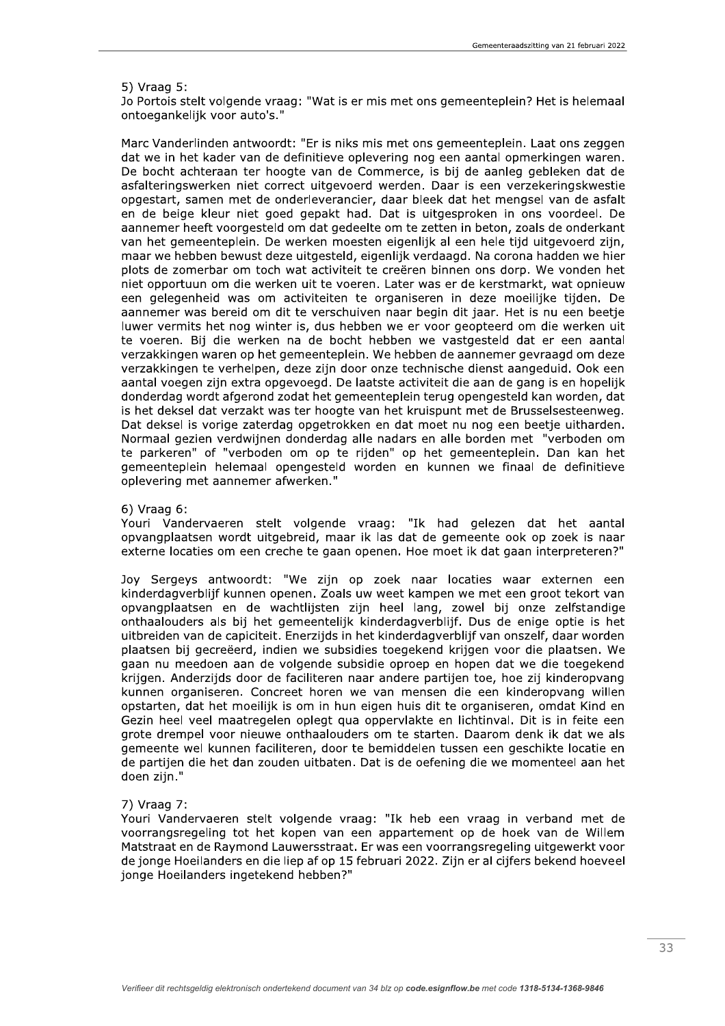### 5) Vraag 5:

Jo Portois stelt volgende vraag: "Wat is er mis met ons gemeenteplein? Het is helemaal ontoegankelijk voor auto's."

Marc Vanderlinden antwoordt: "Er is niks mis met ons gemeenteplein. Laat ons zeggen dat we in het kader van de definitieve oplevering nog een aantal opmerkingen waren. De bocht achteraan ter hoogte van de Commerce, is bij de aanleg gebleken dat de asfalteringswerken niet correct uitgevoerd werden. Daar is een verzekeringskwestie opgestart, samen met de onderleverancier, daar bleek dat het mengsel van de asfalt en de beige kleur niet goed gepakt had. Dat is uitgesproken in ons voordeel. De aannemer heeft voorgesteld om dat gedeelte om te zetten in beton, zoals de onderkant van het gemeenteplein. De werken moesten eigenlijk al een hele tijd uitgevoerd zijn, maar we hebben bewust deze uitgesteld, eigenlijk verdaagd. Na corona hadden we hier plots de zomerbar om toch wat activiteit te creëren binnen ons dorp. We vonden het niet opportuun om die werken uit te voeren. Later was er de kerstmarkt, wat opnieuw een gelegenheid was om activiteiten te organiseren in deze moeilijke tijden. De aannemer was bereid om dit te verschuiven naar begin dit jaar. Het is nu een beetje luwer vermits het nog winter is, dus hebben we er voor geopteerd om die werken uit te voeren. Bij die werken na de bocht hebben we vastgesteld dat er een aantal verzakkingen waren op het gemeenteplein. We hebben de aannemer gevraagd om deze verzakkingen te verhelpen, deze zijn door onze technische dienst aangeduid. Ook een aantal voegen zijn extra opgevoegd. De laatste activiteit die aan de gang is en hopelijk donderdag wordt afgerond zodat het gemeenteplein terug opengesteld kan worden, dat is het deksel dat verzakt was ter hoogte van het kruispunt met de Brusselsesteenweg. Dat deksel is vorige zaterdag opgetrokken en dat moet nu nog een beetie uitharden. Normaal gezien verdwijnen donderdag alle nadars en alle borden met "verboden om te parkeren" of "verboden om op te rijden" op het gemeenteplein. Dan kan het gemeenteplein helemaal opengesteld worden en kunnen we finaal de definitieve oplevering met aannemer afwerken."

#### $6)$  Vraag  $6:$

Youri Vandervaeren stelt volgende vraag: "Ik had gelezen dat het aantal opvangplaatsen wordt uitgebreid, maar ik las dat de gemeente ook op zoek is naar externe locaties om een creche te gaan openen. Hoe moet ik dat gaan interpreteren?"

Joy Sergeys antwoordt: "We zijn op zoek naar locaties waar externen een kinderdagverblijf kunnen openen. Zoals uw weet kampen we met een groot tekort van opvangplaatsen en de wachtlijsten zijn heel lang, zowel bij onze zelfstandige onthaalouders als bij het gemeentelijk kinderdagverblijf. Dus de enige optie is het uitbreiden van de capiciteit. Enerzijds in het kinderdagverblijf van onszelf, daar worden plaatsen bij gecreëerd, indien we subsidies toegekend krijgen voor die plaatsen. We gaan nu meedoen aan de volgende subsidie oproep en hopen dat we die toegekend krijgen. Anderzijds door de faciliteren naar andere partijen toe, hoe zij kinderopvang kunnen organiseren. Concreet horen we van mensen die een kinderopvang willen opstarten, dat het moeilijk is om in hun eigen huis dit te organiseren, omdat Kind en Gezin heel veel maatregelen oplegt qua oppervlakte en lichtinval. Dit is in feite een grote drempel voor nieuwe onthaalouders om te starten. Daarom denk ik dat we als gemeente wel kunnen faciliteren, door te bemiddelen tussen een geschikte locatie en de partijen die het dan zouden uitbaten. Dat is de oefening die we momenteel aan het doen zijn."

#### 7) Vraag 7:

Youri Vandervaeren stelt volgende vraag: "Ik heb een vraag in verband met de voorrangsregeling tot het kopen van een appartement op de hoek van de Willem Matstraat en de Raymond Lauwersstraat. Er was een voorrangsregeling uitgewerkt voor de jonge Hoeilanders en die liep af op 15 februari 2022. Zijn er al cijfers bekend hoeveel jonge Hoeilanders ingetekend hebben?"